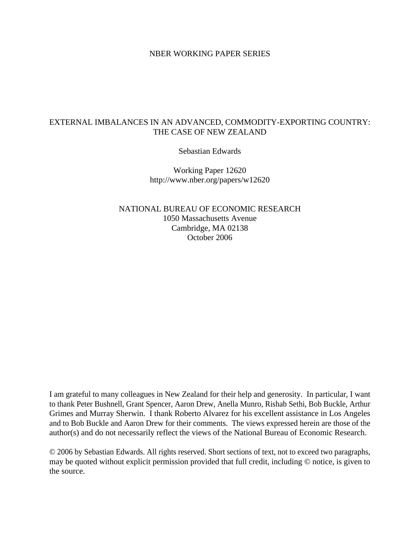#### NBER WORKING PAPER SERIES

### EXTERNAL IMBALANCES IN AN ADVANCED, COMMODITY-EXPORTING COUNTRY: THE CASE OF NEW ZEALAND

Sebastian Edwards

Working Paper 12620 http://www.nber.org/papers/w12620

NATIONAL BUREAU OF ECONOMIC RESEARCH 1050 Massachusetts Avenue Cambridge, MA 02138 October 2006

I am grateful to many colleagues in New Zealand for their help and generosity. In particular, I want to thank Peter Bushnell, Grant Spencer, Aaron Drew, Anella Munro, Rishab Sethi, Bob Buckle, Arthur Grimes and Murray Sherwin. I thank Roberto Alvarez for his excellent assistance in Los Angeles and to Bob Buckle and Aaron Drew for their comments. The views expressed herein are those of the author(s) and do not necessarily reflect the views of the National Bureau of Economic Research.

© 2006 by Sebastian Edwards. All rights reserved. Short sections of text, not to exceed two paragraphs, may be quoted without explicit permission provided that full credit, including © notice, is given to the source.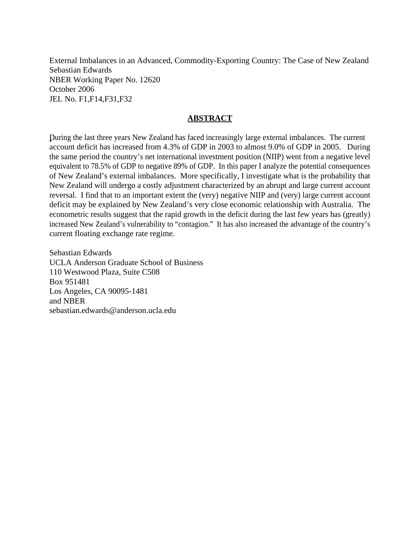External Imbalances in an Advanced, Commodity-Exporting Country: The Case of New Zealand Sebastian Edwards NBER Working Paper No. 12620 October 2006 JEL No. F1,F14,F31,F32

#### **ABSTRACT**

֖֖֧ׅ֧֧֧֧֧֧֧֧֧֧֧֧֚֚֚֚֚֚֚֚֚֚֚֚֚֚֚֚֚֡֝֝֝֝֝֝֝֝֝֓֝֬֝֓֝֬֝֓֝֬֝֓֝֬֝֓֞֝֬֝֓֝֬֝֓֝֬֝֬֝֓֝֬֝֬֝֬֝֓֝֬֝֬֝֞֝֬ During the last three years New Zealand has faced increasingly large external imbalances. The current account deficit has increased from 4.3% of GDP in 2003 to almost 9.0% of GDP in 2005. During the same period the country's net international investment position (NIIP) went from a negative level equivalent to 78.5% of GDP to negative 89% of GDP. In this paper I analyze the potential consequences of New Zealand's external imbalances. More specifically, I investigate what is the probability that New Zealand will undergo a costly adjustment characterized by an abrupt and large current account reversal. I find that to an important extent the (very) negative NIIP and (very) large current account deficit may be explained by New Zealand's very close economic relationship with Australia. The econometric results suggest that the rapid growth in the deficit during the last few years has (greatly) increased New Zealand's vulnerability to "contagion." It has also increased the advantage of the country's current floating exchange rate regime.

Sebastian Edwards UCLA Anderson Graduate School of Business 110 Westwood Plaza, Suite C508 Box 951481 Los Angeles, CA 90095-1481 and NBER sebastian.edwards@anderson.ucla.edu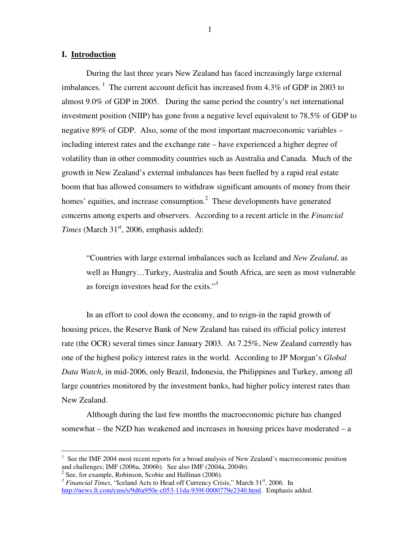#### **I. Introduction**

During the last three years New Zealand has faced increasingly large external imbalances.<sup>1</sup> The current account deficit has increased from 4.3% of GDP in 2003 to almost 9.0% of GDP in 2005. During the same period the country's net international investment position (NIIP) has gone from a negative level equivalent to 78.5% of GDP to negative 89% of GDP. Also, some of the most important macroeconomic variables – including interest rates and the exchange rate – have experienced a higher degree of volatility than in other commodity countries such as Australia and Canada. Much of the growth in New Zealand's external imbalances has been fuelled by a rapid real estate boom that has allowed consumers to withdraw significant amounts of money from their homes' equities, and increase consumption.<sup>2</sup> These developments have generated concerns among experts and observers. According to a recent article in the *Financial* Times (March 31<sup>st</sup>, 2006, emphasis added):

"Countries with large external imbalances such as Iceland and *New Zealand*, as well as Hungry…Turkey, Australia and South Africa, are seen as most vulnerable as foreign investors head for the exits."<sup>3</sup>

In an effort to cool down the economy, and to reign-in the rapid growth of housing prices, the Reserve Bank of New Zealand has raised its official policy interest rate (the OCR) several times since January 2003. At 7.25%, New Zealand currently has one of the highest policy interest rates in the world. According to JP Morgan's *Global Data Watch*, in mid-2006, only Brazil, Indonesia, the Philippines and Turkey, among all large countries monitored by the investment banks, had higher policy interest rates than New Zealand.

Although during the last few months the macroeconomic picture has changed somewhat – the NZD has weakened and increases in housing prices have moderated – a

<sup>&</sup>lt;sup>1</sup> See the IMF 2004 most recent reports for a broad analysis of New Zealand's macroeconomic position and challenges; IMF (2006a, 2006b). See also IMF (2004a, 2004b).

 $2^2$  See, for example, Robinson, Scobie and Hallinan (2006).

<sup>&</sup>lt;sup>3</sup> Financial Times, "Iceland Acts to Head off Currency Crisis," March 31<sup>st</sup>, 2006. In http://news.ft.com/cms/s/9d6a950e-c053-11da-939f-0000779e2340.html. Emphasis added.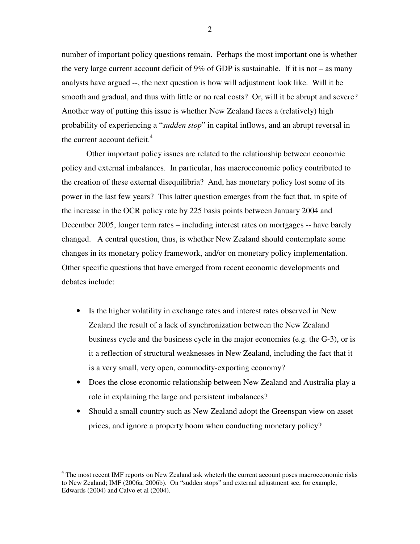number of important policy questions remain. Perhaps the most important one is whether the very large current account deficit of 9% of GDP is sustainable. If it is not – as many analysts have argued --, the next question is how will adjustment look like. Will it be smooth and gradual, and thus with little or no real costs? Or, will it be abrupt and severe? Another way of putting this issue is whether New Zealand faces a (relatively) high probability of experiencing a "*sudden stop*" in capital inflows, and an abrupt reversal in the current account deficit. 4

Other important policy issues are related to the relationship between economic policy and external imbalances. In particular, has macroeconomic policy contributed to the creation of these external disequilibria? And, has monetary policy lost some of its power in the last few years? This latter question emerges from the fact that, in spite of the increase in the OCR policy rate by 225 basis points between January 2004 and December 2005, longer term rates – including interest rates on mortgages -- have barely changed. A central question, thus, is whether New Zealand should contemplate some changes in its monetary policy framework, and/or on monetary policy implementation. Other specific questions that have emerged from recent economic developments and debates include:

- Is the higher volatility in exchange rates and interest rates observed in New Zealand the result of a lack of synchronization between the New Zealand business cycle and the business cycle in the major economies (e.g. the G-3), or is it a reflection of structural weaknesses in New Zealand, including the fact that it is a very small, very open, commodity-exporting economy?
- Does the close economic relationship between New Zealand and Australia play a role in explaining the large and persistent imbalances?
- Should a small country such as New Zealand adopt the Greenspan view on asset prices, and ignore a property boom when conducting monetary policy?

<sup>&</sup>lt;sup>4</sup> The most recent IMF reports on New Zealand ask wheterh the current account poses macroeconomic risks to New Zealand; IMF (2006a, 2006b). On "sudden stops" and external adjustment see, for example, Edwards (2004) and Calvo et al (2004).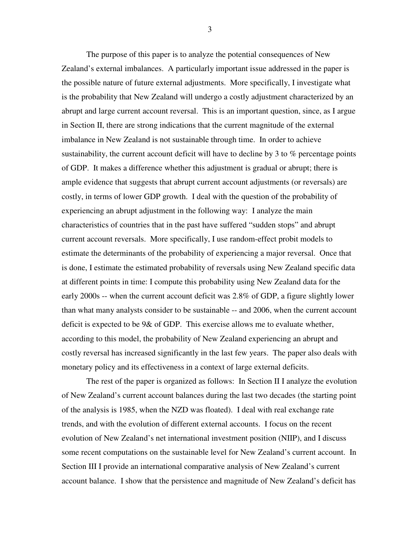The purpose of this paper is to analyze the potential consequences of New Zealand's external imbalances. A particularly important issue addressed in the paper is the possible nature of future external adjustments. More specifically, I investigate what is the probability that New Zealand will undergo a costly adjustment characterized by an abrupt and large current account reversal. This is an important question, since, as I argue in Section II, there are strong indications that the current magnitude of the external imbalance in New Zealand is not sustainable through time. In order to achieve sustainability, the current account deficit will have to decline by 3 to % percentage points of GDP. It makes a difference whether this adjustment is gradual or abrupt; there is ample evidence that suggests that abrupt current account adjustments (or reversals) are costly, in terms of lower GDP growth. I deal with the question of the probability of experiencing an abrupt adjustment in the following way: I analyze the main characteristics of countries that in the past have suffered "sudden stops" and abrupt current account reversals. More specifically, I use random-effect probit models to estimate the determinants of the probability of experiencing a major reversal. Once that is done, I estimate the estimated probability of reversals using New Zealand specific data at different points in time: I compute this probability using New Zealand data for the early 2000s -- when the current account deficit was 2.8% of GDP, a figure slightly lower than what many analysts consider to be sustainable -- and 2006, when the current account deficit is expected to be 9& of GDP. This exercise allows me to evaluate whether, according to this model, the probability of New Zealand experiencing an abrupt and costly reversal has increased significantly in the last few years. The paper also deals with monetary policy and its effectiveness in a context of large external deficits.

The rest of the paper is organized as follows: In Section II I analyze the evolution of New Zealand's current account balances during the last two decades (the starting point of the analysis is 1985, when the NZD was floated). I deal with real exchange rate trends, and with the evolution of different external accounts. I focus on the recent evolution of New Zealand's net international investment position (NIIP), and I discuss some recent computations on the sustainable level for New Zealand's current account. In Section III I provide an international comparative analysis of New Zealand's current account balance. I show that the persistence and magnitude of New Zealand's deficit has

3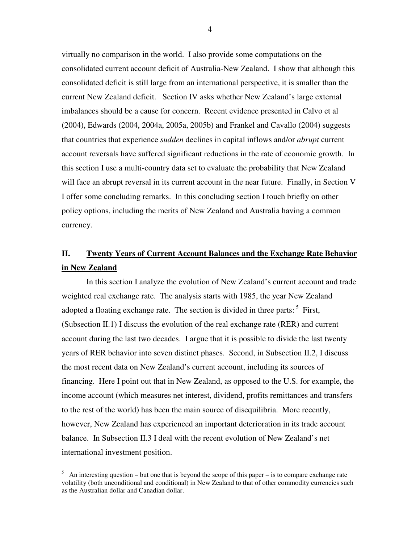virtually no comparison in the world. I also provide some computations on the consolidated current account deficit of Australia-New Zealand. I show that although this consolidated deficit is still large from an international perspective, it is smaller than the current New Zealand deficit. Section IV asks whether New Zealand's large external imbalances should be a cause for concern. Recent evidence presented in Calvo et al (2004), Edwards (2004, 2004a, 2005a, 2005b) and Frankel and Cavallo (2004) suggests that countries that experience *sudden* declines in capital inflows and/or *abrupt* current account reversals have suffered significant reductions in the rate of economic growth. In this section I use a multi-country data set to evaluate the probability that New Zealand will face an abrupt reversal in its current account in the near future. Finally, in Section V I offer some concluding remarks. In this concluding section I touch briefly on other policy options, including the merits of New Zealand and Australia having a common currency.

# **II. Twenty Years of Current Account Balances and the Exchange Rate Behavior in New Zealand**

In this section I analyze the evolution of New Zealand's current account and trade weighted real exchange rate. The analysis starts with 1985, the year New Zealand adopted a floating exchange rate. The section is divided in three parts: <sup>5</sup> First, (Subsection II.1) I discuss the evolution of the real exchange rate (RER) and current account during the last two decades. I argue that it is possible to divide the last twenty years of RER behavior into seven distinct phases. Second, in Subsection II.2, I discuss the most recent data on New Zealand's current account, including its sources of financing. Here I point out that in New Zealand, as opposed to the U.S. for example, the income account (which measures net interest, dividend, profits remittances and transfers to the rest of the world) has been the main source of disequilibria. More recently, however, New Zealand has experienced an important deterioration in its trade account balance. In Subsection II.3 I deal with the recent evolution of New Zealand's net international investment position.

4

An interesting question – but one that is beyond the scope of this paper – is to compare exchange rate volatility (both unconditional and conditional) in New Zealand to that of other commodity currencies such as the Australian dollar and Canadian dollar.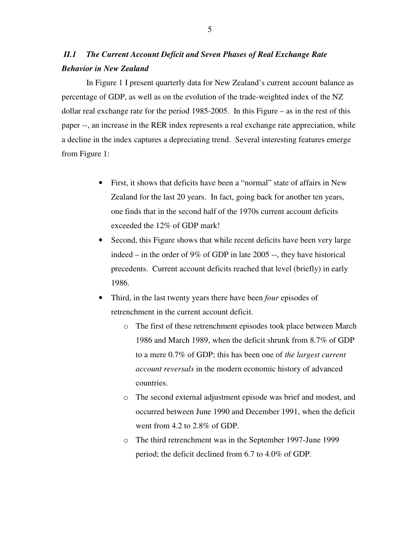## *II.1 The Current Account Deficit and Seven Phases of Real Exchange Rate Behavior in New Zealand*

In Figure 1 I present quarterly data for New Zealand's current account balance as percentage of GDP, as well as on the evolution of the trade-weighted index of the NZ dollar real exchange rate for the period 1985-2005. In this Figure – as in the rest of this paper --, an increase in the RER index represents a real exchange rate appreciation, while a decline in the index captures a depreciating trend. Several interesting features emerge from Figure 1:

- First, it shows that deficits have been a "normal" state of affairs in New Zealand for the last 20 years. In fact, going back for another ten years, one finds that in the second half of the 1970s current account deficits exceeded the 12% of GDP mark!
- Second, this Figure shows that while recent deficits have been very large indeed – in the order of 9% of GDP in late 2005 --, they have historical precedents. Current account deficits reached that level (briefly) in early 1986.
- Third, in the last twenty years there have been *four* episodes of retrenchment in the current account deficit.
	- o The first of these retrenchment episodes took place between March 1986 and March 1989, when the deficit shrunk from 8.7% of GDP to a mere 0.7% of GDP; this has been one of *the largest current account reversals* in the modern economic history of advanced countries.
	- o The second external adjustment episode was brief and modest, and occurred between June 1990 and December 1991, when the deficit went from 4.2 to 2.8% of GDP.
	- o The third retrenchment was in the September 1997-June 1999 period; the deficit declined from 6.7 to 4.0% of GDP.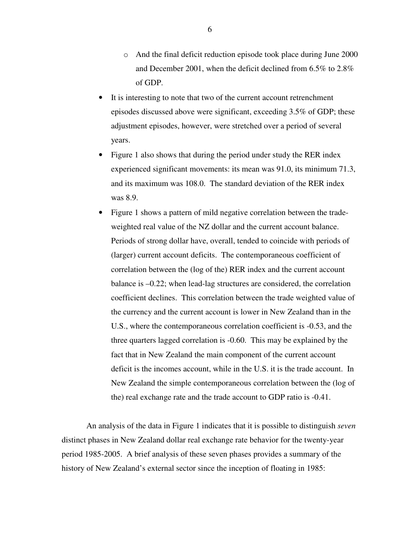- o And the final deficit reduction episode took place during June 2000 and December 2001, when the deficit declined from 6.5% to 2.8% of GDP.
- It is interesting to note that two of the current account retrenchment episodes discussed above were significant, exceeding 3.5% of GDP; these adjustment episodes, however, were stretched over a period of several years.
- Figure 1 also shows that during the period under study the RER index experienced significant movements: its mean was 91.0, its minimum 71.3, and its maximum was 108.0. The standard deviation of the RER index was 8.9.
- Figure 1 shows a pattern of mild negative correlation between the tradeweighted real value of the NZ dollar and the current account balance. Periods of strong dollar have, overall, tended to coincide with periods of (larger) current account deficits. The contemporaneous coefficient of correlation between the (log of the) RER index and the current account balance is –0.22; when lead-lag structures are considered, the correlation coefficient declines. This correlation between the trade weighted value of the currency and the current account is lower in New Zealand than in the U.S., where the contemporaneous correlation coefficient is -0.53, and the three quarters lagged correlation is -0.60. This may be explained by the fact that in New Zealand the main component of the current account deficit is the incomes account, while in the U.S. it is the trade account. In New Zealand the simple contemporaneous correlation between the (log of the) real exchange rate and the trade account to GDP ratio is -0.41.

An analysis of the data in Figure 1 indicates that it is possible to distinguish *seven* distinct phases in New Zealand dollar real exchange rate behavior for the twenty-year period 1985-2005. A brief analysis of these seven phases provides a summary of the history of New Zealand's external sector since the inception of floating in 1985:

6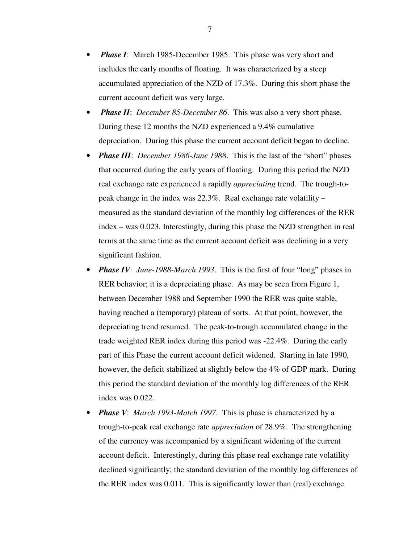- *Phase I*: March 1985-December 1985. This phase was very short and includes the early months of floating. It was characterized by a steep accumulated appreciation of the NZD of 17.3%. During this short phase the current account deficit was very large.
- *Phase II*: *December 85-December 86*. This was also a very short phase. During these 12 months the NZD experienced a 9.4% cumulative depreciation. During this phase the current account deficit began to decline.
- *Phase III*: *December 1986-June 1988*. This is the last of the "short" phases that occurred during the early years of floating. During this period the NZD real exchange rate experienced a rapidly *appreciating* trend. The trough-topeak change in the index was 22.3%. Real exchange rate volatility – measured as the standard deviation of the monthly log differences of the RER index – was 0.023. Interestingly, during this phase the NZD strengthen in real terms at the same time as the current account deficit was declining in a very significant fashion.
- *Phase IV*: *June-1988-March 1993*. This is the first of four "long" phases in RER behavior; it is a depreciating phase. As may be seen from Figure 1, between December 1988 and September 1990 the RER was quite stable, having reached a (temporary) plateau of sorts. At that point, however, the depreciating trend resumed. The peak-to-trough accumulated change in the trade weighted RER index during this period was -22.4%. During the early part of this Phase the current account deficit widened. Starting in late 1990, however, the deficit stabilized at slightly below the 4% of GDP mark. During this period the standard deviation of the monthly log differences of the RER index was 0.022.
- *Phase V*: *March 1993-Match 1997*. This is phase is characterized by a trough-to-peak real exchange rate *appreciation* of 28.9%. The strengthening of the currency was accompanied by a significant widening of the current account deficit. Interestingly, during this phase real exchange rate volatility declined significantly; the standard deviation of the monthly log differences of the RER index was 0.011. This is significantly lower than (real) exchange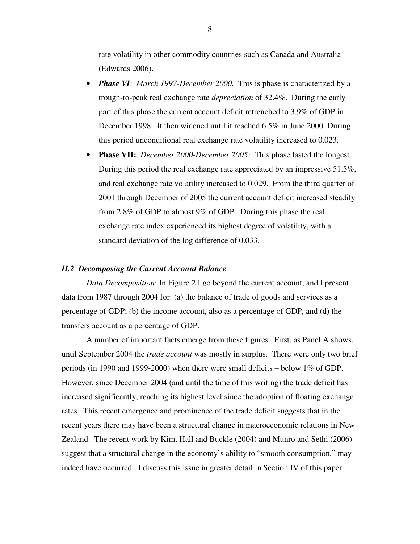rate volatility in other commodity countries such as Canada and Australia (Edwards 2006).

- *Phase VI*: *March 1997-December 2000*. This is phase is characterized by a trough-to-peak real exchange rate *depreciation* of 32.4%. During the early part of this phase the current account deficit retrenched to 3.9% of GDP in December 1998. It then widened until it reached 6.5% in June 2000. During this period unconditional real exchange rate volatility increased to 0.023.
- **Phase VII:** *December 2000-December 2005:* This phase lasted the longest. During this period the real exchange rate appreciated by an impressive 51.5%, and real exchange rate volatility increased to 0.029. From the third quarter of 2001 through December of 2005 the current account deficit increased steadily from 2.8% of GDP to almost 9% of GDP. During this phase the real exchange rate index experienced its highest degree of volatility, with a standard deviation of the log difference of 0.033.

#### *II.2 Decomposing the Current Account Balance*

*Data Decomposition*: In Figure 2 I go beyond the current account, and I present data from 1987 through 2004 for: (a) the balance of trade of goods and services as a percentage of GDP; (b) the income account, also as a percentage of GDP, and (d) the transfers account as a percentage of GDP.

A number of important facts emerge from these figures. First, as Panel A shows, until September 2004 the *trade account* was mostly in surplus. There were only two brief periods (in 1990 and 1999-2000) when there were small deficits – below 1% of GDP. However, since December 2004 (and until the time of this writing) the trade deficit has increased significantly, reaching its highest level since the adoption of floating exchange rates. This recent emergence and prominence of the trade deficit suggests that in the recent years there may have been a structural change in macroeconomic relations in New Zealand. The recent work by Kim, Hall and Buckle (2004) and Munro and Sethi (2006) suggest that a structural change in the economy's ability to "smooth consumption," may indeed have occurred. I discuss this issue in greater detail in Section IV of this paper.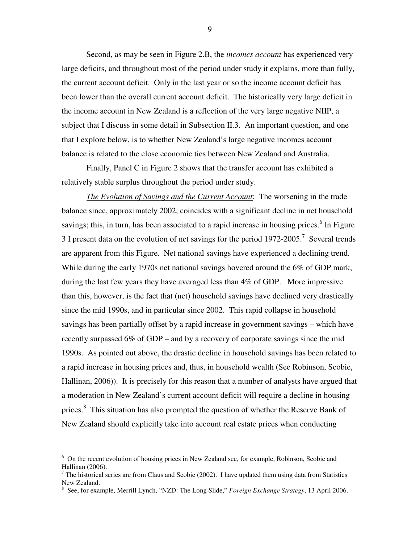Second, as may be seen in Figure 2.B, the *incomes account* has experienced very large deficits, and throughout most of the period under study it explains, more than fully, the current account deficit. Only in the last year or so the income account deficit has been lower than the overall current account deficit. The historically very large deficit in the income account in New Zealand is a reflection of the very large negative NIIP, a subject that I discuss in some detail in Subsection II.3. An important question, and one that I explore below, is to whether New Zealand's large negative incomes account balance is related to the close economic ties between New Zealand and Australia.

Finally, Panel C in Figure 2 shows that the transfer account has exhibited a relatively stable surplus throughout the period under study.

*The Evolution of Savings and the Current Account*: The worsening in the trade balance since, approximately 2002, coincides with a significant decline in net household savings; this, in turn, has been associated to a rapid increase in housing prices.<sup>6</sup> In Figure 3 I present data on the evolution of net savings for the period  $1972$ -2005.<sup>7</sup> Several trends are apparent from this Figure. Net national savings have experienced a declining trend. While during the early 1970s net national savings hovered around the 6% of GDP mark, during the last few years they have averaged less than 4% of GDP. More impressive than this, however, is the fact that (net) household savings have declined very drastically since the mid 1990s, and in particular since 2002. This rapid collapse in household savings has been partially offset by a rapid increase in government savings – which have recently surpassed 6% of GDP – and by a recovery of corporate savings since the mid 1990s. As pointed out above, the drastic decline in household savings has been related to a rapid increase in housing prices and, thus, in household wealth (See Robinson, Scobie, Hallinan, 2006)). It is precisely for this reason that a number of analysts have argued that a moderation in New Zealand's current account deficit will require a decline in housing prices.<sup>8</sup> This situation has also prompted the question of whether the Reserve Bank of New Zealand should explicitly take into account real estate prices when conducting

9

<sup>6</sup> On the recent evolution of housing prices in New Zealand see, for example, Robinson, Scobie and Hallinan (2006).

 $<sup>7</sup>$  The historical series are from Claus and Scobie (2002). I have updated them using data from Statistics</sup> New Zealand.

<sup>8</sup> See, for example, Merrill Lynch, "NZD: The Long Slide," *Foreign Exchange Strategy*, 13 April 2006.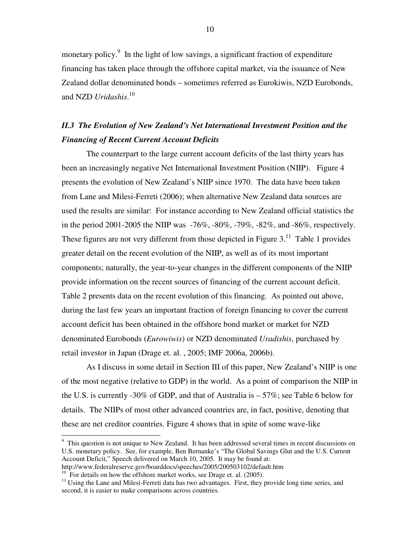monetary policy.<sup>9</sup> In the light of low savings, a significant fraction of expenditure financing has taken place through the offshore capital market, via the issuance of New Zealand dollar denominated bonds – sometimes referred as Eurokiwis, NZD Eurobonds, and NZD *Uridashis*. 10

### *II.3 The Evolution of New Zealand's Net International Investment Position and the Financing of Recent Current Account Deficits*

The counterpart to the large current account deficits of the last thirty years has been an increasingly negative Net International Investment Position (NIIP). Figure 4 presents the evolution of New Zealand's NIIP since 1970. The data have been taken from Lane and Milesi-Ferreti (2006); when alternative New Zealand data sources are used the results are similar: For instance according to New Zealand official statistics the in the period 2001-2005 the NIIP was -76%, -80%, -79%, -82%, and -86%, respectively. These figures are not very different from those depicted in Figure  $3$ .<sup>11</sup> Table 1 provides greater detail on the recent evolution of the NIIP, as well as of its most important components; naturally, the year-to-year changes in the different components of the NIIP provide information on the recent sources of financing of the current account deficit. Table 2 presents data on the recent evolution of this financing. As pointed out above, during the last few years an important fraction of foreign financing to cover the current account deficit has been obtained in the offshore bond market or market for NZD denominated Eurobonds (*Eurowiwis*) or NZD denominated *Uradishis*, purchased by retail investor in Japan (Drage et. al. , 2005; IMF 2006a, 2006b).

As I discuss in some detail in Section III of this paper, New Zealand's NIIP is one of the most negative (relative to GDP) in the world. As a point of comparison the NIIP in the U.S. is currently -30% of GDP, and that of Australia is – 57%; see Table 6 below for details. The NIIPs of most other advanced countries are, in fact, positive, denoting that these are net creditor countries. Figure 4 shows that in spite of some wave-like

<sup>&</sup>lt;sup>9</sup> This question is not unique to New Zealand. It has been addressed several times in recent discussions on U.S. monetary policy. See, for example, Ben Bernanke's "The Global Savings Glut and the U.S. Current Account Deficit," Speech delivered on March 10, 2005. It may be found at:

http://www.federalreserve.gov/boarddocs/speeches/2005/200503102/default.htm

<sup>&</sup>lt;sup>10</sup> For details on how the offshore market works, see Drage et. al. (2005).

<sup>&</sup>lt;sup>11</sup> Using the Lane and Milesi-Ferreti data has two advantages. First, they provide long time series, and second, it is easier to make comparisons across countries.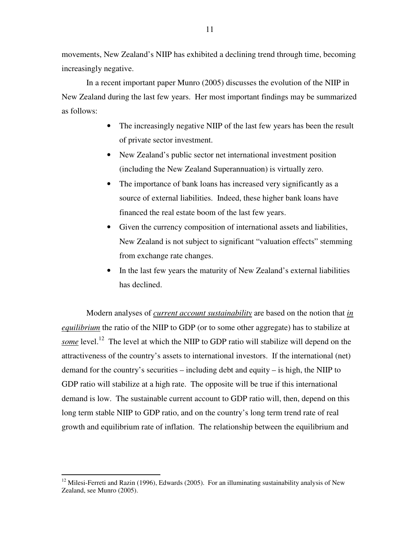movements, New Zealand's NIIP has exhibited a declining trend through time, becoming increasingly negative.

In a recent important paper Munro (2005) discusses the evolution of the NIIP in New Zealand during the last few years. Her most important findings may be summarized as follows:

- The increasingly negative NIIP of the last few years has been the result of private sector investment.
- New Zealand's public sector net international investment position (including the New Zealand Superannuation) is virtually zero.
- The importance of bank loans has increased very significantly as a source of external liabilities. Indeed, these higher bank loans have financed the real estate boom of the last few years.
- Given the currency composition of international assets and liabilities, New Zealand is not subject to significant "valuation effects" stemming from exchange rate changes.
- In the last few years the maturity of New Zealand's external liabilities has declined.

Modern analyses of *current account sustainability* are based on the notion that *in equilibrium* the ratio of the NIIP to GDP (or to some other aggregate) has to stabilize at some level.<sup>12</sup> The level at which the NIIP to GDP ratio will stabilize will depend on the attractiveness of the country's assets to international investors. If the international (net) demand for the country's securities – including debt and equity – is high, the NIIP to GDP ratio will stabilize at a high rate. The opposite will be true if this international demand is low. The sustainable current account to GDP ratio will, then, depend on this long term stable NIIP to GDP ratio, and on the country's long term trend rate of real growth and equilibrium rate of inflation. The relationship between the equilibrium and

<sup>&</sup>lt;sup>12</sup> Milesi-Ferreti and Razin (1996), Edwards (2005). For an illuminating sustainability analysis of New Zealand, see Munro (2005).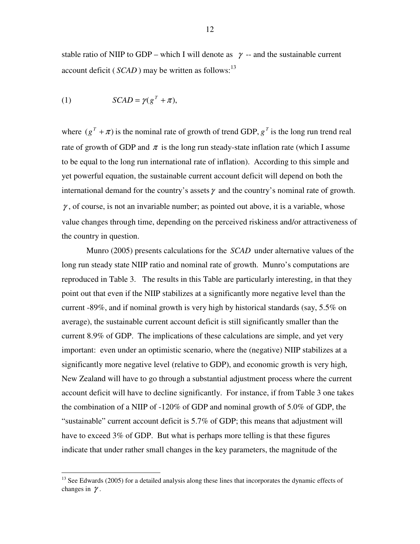stable ratio of NIIP to GDP – which I will denote as  $\gamma$  – and the sustainable current account deficit (*SCAD* ) may be written as follows:<sup>13</sup>

(1) 
$$
SCAD = \gamma (g^T + \pi),
$$

where  $(g^T + \pi)$  is the nominal rate of growth of trend GDP,  $g^T$  is the long run trend real rate of growth of GDP and  $\pi$  is the long run steady-state inflation rate (which I assume to be equal to the long run international rate of inflation). According to this simple and yet powerful equation, the sustainable current account deficit will depend on both the international demand for the country's assets  $\gamma$  and the country's nominal rate of growth.  $\gamma$ , of course, is not an invariable number; as pointed out above, it is a variable, whose value changes through time, depending on the perceived riskiness and/or attractiveness of the country in question.

Munro (2005) presents calculations for the *SCAD* under alternative values of the long run steady state NIIP ratio and nominal rate of growth. Munro's computations are reproduced in Table 3. The results in this Table are particularly interesting, in that they point out that even if the NIIP stabilizes at a significantly more negative level than the current -89%, and if nominal growth is very high by historical standards (say, 5.5% on average), the sustainable current account deficit is still significantly smaller than the current 8.9% of GDP. The implications of these calculations are simple, and yet very important: even under an optimistic scenario, where the (negative) NIIP stabilizes at a significantly more negative level (relative to GDP), and economic growth is very high, New Zealand will have to go through a substantial adjustment process where the current account deficit will have to decline significantly. For instance, if from Table 3 one takes the combination of a NIIP of -120% of GDP and nominal growth of 5.0% of GDP, the "sustainable" current account deficit is 5.7% of GDP; this means that adjustment will have to exceed 3% of GDP. But what is perhaps more telling is that these figures indicate that under rather small changes in the key parameters, the magnitude of the

<sup>&</sup>lt;sup>13</sup> See Edwards (2005) for a detailed analysis along these lines that incorporates the dynamic effects of changes in  $\gamma$ .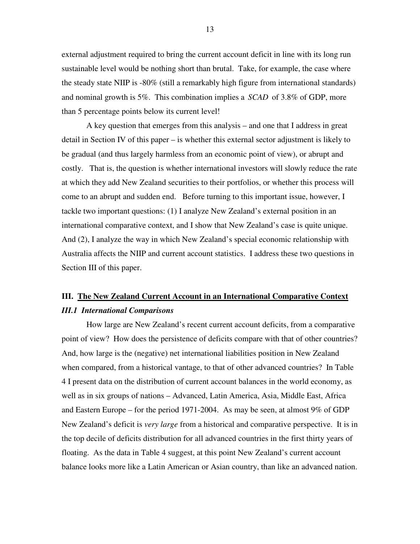external adjustment required to bring the current account deficit in line with its long run sustainable level would be nothing short than brutal. Take, for example, the case where the steady state NIIP is -80% (still a remarkably high figure from international standards) and nominal growth is 5%. This combination implies a *SCAD* of 3.8% of GDP, more than 5 percentage points below its current level!

A key question that emerges from this analysis – and one that I address in great detail in Section IV of this paper – is whether this external sector adjustment is likely to be gradual (and thus largely harmless from an economic point of view), or abrupt and costly. That is, the question is whether international investors will slowly reduce the rate at which they add New Zealand securities to their portfolios, or whether this process will come to an abrupt and sudden end. Before turning to this important issue, however, I tackle two important questions: (1) I analyze New Zealand's external position in an international comparative context, and I show that New Zealand's case is quite unique. And (2), I analyze the way in which New Zealand's special economic relationship with Australia affects the NIIP and current account statistics. I address these two questions in Section III of this paper.

# **III. The New Zealand Current Account in an International Comparative Context** *III.1 International Comparisons*

How large are New Zealand's recent current account deficits, from a comparative point of view? How does the persistence of deficits compare with that of other countries? And, how large is the (negative) net international liabilities position in New Zealand when compared, from a historical vantage, to that of other advanced countries? In Table 4 I present data on the distribution of current account balances in the world economy, as well as in six groups of nations – Advanced, Latin America, Asia, Middle East, Africa and Eastern Europe – for the period 1971-2004. As may be seen, at almost 9% of GDP New Zealand's deficit is *very large* from a historical and comparative perspective. It is in the top decile of deficits distribution for all advanced countries in the first thirty years of floating. As the data in Table 4 suggest, at this point New Zealand's current account balance looks more like a Latin American or Asian country, than like an advanced nation.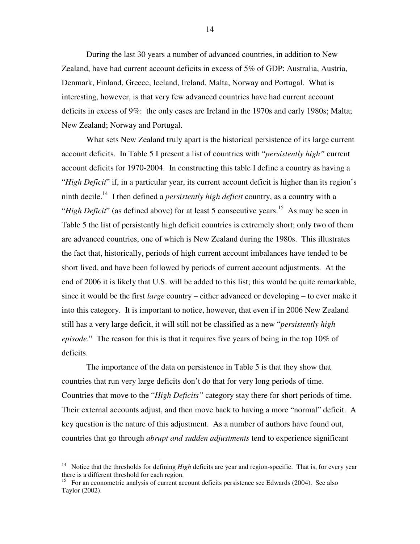During the last 30 years a number of advanced countries, in addition to New Zealand, have had current account deficits in excess of 5% of GDP: Australia, Austria, Denmark, Finland, Greece, Iceland, Ireland, Malta, Norway and Portugal. What is interesting, however, is that very few advanced countries have had current account deficits in excess of 9%: the only cases are Ireland in the 1970s and early 1980s; Malta; New Zealand; Norway and Portugal.

What sets New Zealand truly apart is the historical persistence of its large current account deficits. In Table 5 I present a list of countries with "*persistently high"* current account deficits for 1970-2004. In constructing this table I define a country as having a "*High Deficit*" if, in a particular year, its current account deficit is higher than its region's ninth decile. 14 I then defined a *persistently high deficit* country, as a country with a "*High Deficit*" (as defined above) for at least 5 consecutive years. <sup>15</sup> As may be seen in Table 5 the list of persistently high deficit countries is extremely short; only two of them are advanced countries, one of which is New Zealand during the 1980s. This illustrates the fact that, historically, periods of high current account imbalances have tended to be short lived, and have been followed by periods of current account adjustments. At the end of 2006 it is likely that U.S. will be added to this list; this would be quite remarkable, since it would be the first *large* country – either advanced or developing – to ever make it into this category. It is important to notice, however, that even if in 2006 New Zealand still has a very large deficit, it will still not be classified as a new "*persistently high episode*." The reason for this is that it requires five years of being in the top 10% of deficits.

The importance of the data on persistence in Table 5 is that they show that countries that run very large deficits don't do that for very long periods of time. Countries that move to the "*High Deficits"* category stay there for short periods of time. Their external accounts adjust, and then move back to having a more "normal" deficit. A key question is the nature of this adjustment. As a number of authors have found out, countries that go through *abrupt and sudden adjustments* tend to experience significant

<sup>&</sup>lt;sup>14</sup> Notice that the thresholds for defining *High* deficits are year and region-specific. That is, for every year there is a different threshold for each region.

<sup>&</sup>lt;sup>15</sup> For an econometric analysis of current account deficits persistence see Edwards (2004). See also Taylor (2002).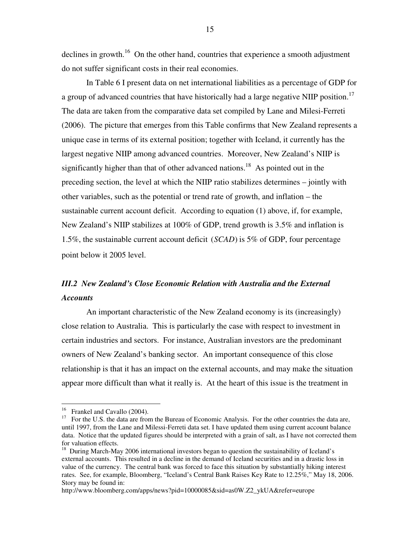declines in growth.<sup>16</sup> On the other hand, countries that experience a smooth adjustment do not suffer significant costs in their real economies.

In Table 6 I present data on net international liabilities as a percentage of GDP for a group of advanced countries that have historically had a large negative NIIP position.<sup>17</sup> The data are taken from the comparative data set compiled by Lane and Milesi-Ferreti (2006). The picture that emerges from this Table confirms that New Zealand represents a unique case in terms of its external position; together with Iceland, it currently has the largest negative NIIP among advanced countries. Moreover, New Zealand's NIIP is significantly higher than that of other advanced nations.<sup>18</sup> As pointed out in the preceding section, the level at which the NIIP ratio stabilizes determines – jointly with other variables, such as the potential or trend rate of growth, and inflation – the sustainable current account deficit. According to equation (1) above, if, for example, New Zealand's NIIP stabilizes at 100% of GDP, trend growth is 3.5% and inflation is 1.5%, the sustainable current account deficit (*SCAD*) is 5% of GDP, four percentage point below it 2005 level.

# *III.2 New Zealand's Close Economic Relation with Australia and the External Accounts*

An important characteristic of the New Zealand economy is its (increasingly) close relation to Australia. This is particularly the case with respect to investment in certain industries and sectors. For instance, Australian investors are the predominant owners of New Zealand's banking sector. An important consequence of this close relationship is that it has an impact on the external accounts, and may make the situation appear more difficult than what it really is. At the heart of this issue is the treatment in

<sup>&</sup>lt;sup>16</sup> Frankel and Cavallo (2004).

<sup>17</sup> For the U.S. the data are from the Bureau of Economic Analysis. For the other countries the data are, until 1997, from the Lane and Milessi-Ferreti data set. I have updated them using current account balance data. Notice that the updated figures should be interpreted with a grain of salt, as I have not corrected them for valuation effects.

<sup>&</sup>lt;sup>18</sup> During March-May 2006 international investors began to question the sustainability of Iceland's external accounts. This resulted in a decline in the demand of Iceland securities and in a drastic loss in value of the currency. The central bank was forced to face this situation by substantially hiking interest rates. See, for example, Bloomberg, "Iceland's Central Bank Raises Key Rate to 12.25%," May 18, 2006. Story may be found in:

http://www.bloomberg.com/apps/news?pid=10000085&sid=as0W.Z2\_ykUA&refer=europe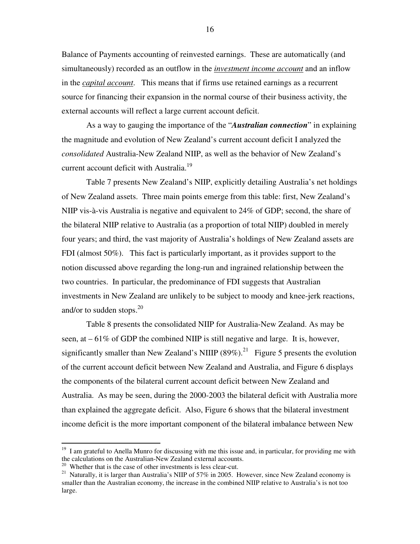Balance of Payments accounting of reinvested earnings. These are automatically (and simultaneously) recorded as an outflow in the *investment income account* and an inflow in the *capital account*. This means that if firms use retained earnings as a recurrent source for financing their expansion in the normal course of their business activity, the external accounts will reflect a large current account deficit.

As a way to gauging the importance of the "*Australian connection*" in explaining the magnitude and evolution of New Zealand's current account deficit I analyzed the *consolidated* Australia-New Zealand NIIP, as well as the behavior of New Zealand's current account deficit with Australia.<sup>19</sup>

Table 7 presents New Zealand's NIIP, explicitly detailing Australia's net holdings of New Zealand assets. Three main points emerge from this table: first, New Zealand's NIIP vis-à-vis Australia is negative and equivalent to 24% of GDP; second, the share of the bilateral NIIP relative to Australia (as a proportion of total NIIP) doubled in merely four years; and third, the vast majority of Australia's holdings of New Zealand assets are FDI (almost 50%). This fact is particularly important, as it provides support to the notion discussed above regarding the long-run and ingrained relationship between the two countries. In particular, the predominance of FDI suggests that Australian investments in New Zealand are unlikely to be subject to moody and knee-jerk reactions, and/or to sudden stops. 20

Table 8 presents the consolidated NIIP for Australia-New Zealand. As may be seen, at  $-61\%$  of GDP the combined NIIP is still negative and large. It is, however, significantly smaller than New Zealand's NIIIP  $(89\%)$ <sup>21</sup> Figure 5 presents the evolution of the current account deficit between New Zealand and Australia, and Figure 6 displays the components of the bilateral current account deficit between New Zealand and Australia. As may be seen, during the 2000-2003 the bilateral deficit with Australia more than explained the aggregate deficit. Also, Figure 6 shows that the bilateral investment income deficit is the more important component of the bilateral imbalance between New

<sup>&</sup>lt;sup>19</sup> I am grateful to Anella Munro for discussing with me this issue and, in particular, for providing me with the calculations on the Australian-New Zealand external accounts.

 $20$  Whether that is the case of other investments is less clear-cut.

<sup>&</sup>lt;sup>21</sup> Naturally, it is larger than Australia's NIIP of 57% in 2005. However, since New Zealand economy is smaller than the Australian economy, the increase in the combined NIIP relative to Australia's is not too large.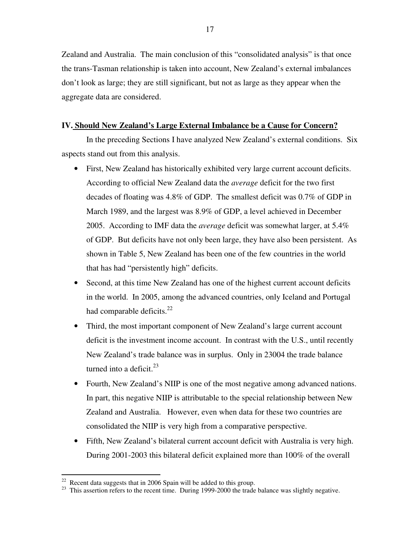Zealand and Australia. The main conclusion of this "consolidated analysis" is that once the trans-Tasman relationship is taken into account, New Zealand's external imbalances don't look as large; they are still significant, but not as large as they appear when the aggregate data are considered.

#### **IV. Should New Zealand's Large External Imbalance be a Cause for Concern?**

In the preceding Sections I have analyzed New Zealand's external conditions. Six aspects stand out from this analysis.

- First, New Zealand has historically exhibited very large current account deficits. According to official New Zealand data the *average* deficit for the two first decades of floating was 4.8% of GDP. The smallest deficit was 0.7% of GDP in March 1989, and the largest was 8.9% of GDP, a level achieved in December 2005. According to IMF data the *average* deficit was somewhat larger, at 5.4% of GDP. But deficits have not only been large, they have also been persistent. As shown in Table 5, New Zealand has been one of the few countries in the world that has had "persistently high" deficits.
- Second, at this time New Zealand has one of the highest current account deficits in the world. In 2005, among the advanced countries, only Iceland and Portugal had comparable deficits.<sup>22</sup>
- Third, the most important component of New Zealand's large current account deficit is the investment income account. In contrast with the U.S., until recently New Zealand's trade balance was in surplus. Only in 23004 the trade balance turned into a deficit. 23
- Fourth, New Zealand's NIIP is one of the most negative among advanced nations. In part, this negative NIIP is attributable to the special relationship between New Zealand and Australia. However, even when data for these two countries are consolidated the NIIP is very high from a comparative perspective.
- Fifth, New Zealand's bilateral current account deficit with Australia is very high. During 2001-2003 this bilateral deficit explained more than 100% of the overall

 $22$  Recent data suggests that in 2006 Spain will be added to this group.

<sup>&</sup>lt;sup>23</sup> This assertion refers to the recent time. During 1999-2000 the trade balance was slightly negative.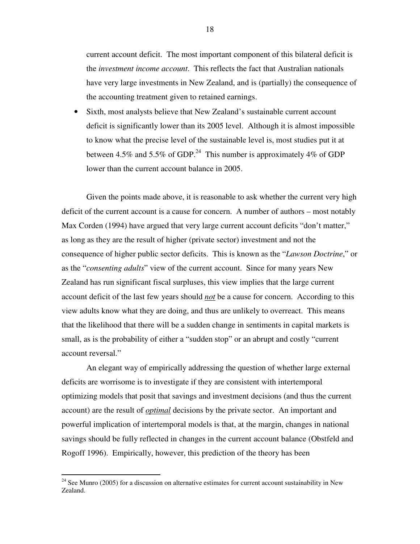current account deficit. The most important component of this bilateral deficit is the *investment income account*. This reflects the fact that Australian nationals have very large investments in New Zealand, and is (partially) the consequence of the accounting treatment given to retained earnings.

• Sixth, most analysts believe that New Zealand's sustainable current account deficit is significantly lower than its 2005 level. Although it is almost impossible to know what the precise level of the sustainable level is, most studies put it at between 4.5% and 5.5% of GDP.<sup>24</sup> This number is approximately 4% of GDP lower than the current account balance in 2005.

Given the points made above, it is reasonable to ask whether the current very high deficit of the current account is a cause for concern. A number of authors – most notably Max Corden (1994) have argued that very large current account deficits "don't matter," as long as they are the result of higher (private sector) investment and not the consequence of higher public sector deficits. This is known as the "*Lawson Doctrine*," or as the "*consenting adults*" view of the current account. Since for many years New Zealand has run significant fiscal surpluses, this view implies that the large current account deficit of the last few years should *not* be a cause for concern. According to this view adults know what they are doing, and thus are unlikely to overreact. This means that the likelihood that there will be a sudden change in sentiments in capital markets is small, as is the probability of either a "sudden stop" or an abrupt and costly "current account reversal."

An elegant way of empirically addressing the question of whether large external deficits are worrisome is to investigate if they are consistent with intertemporal optimizing models that posit that savings and investment decisions (and thus the current account) are the result of *optimal* decisions by the private sector. An important and powerful implication of intertemporal models is that, at the margin, changes in national savings should be fully reflected in changes in the current account balance (Obstfeld and Rogoff 1996). Empirically, however, this prediction of the theory has been

 $24$  See Munro (2005) for a discussion on alternative estimates for current account sustainability in New Zealand.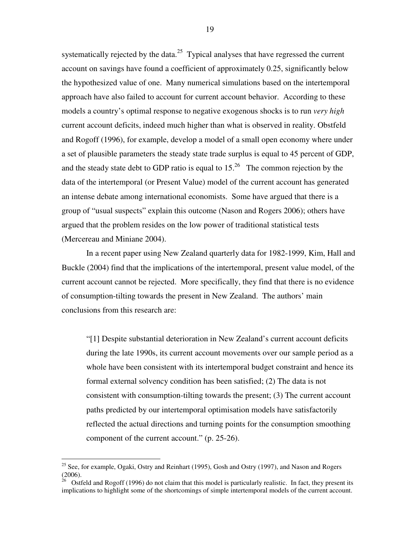systematically rejected by the data. $25$  Typical analyses that have regressed the current account on savings have found a coefficient of approximately 0.25, significantly below the hypothesized value of one. Many numerical simulations based on the intertemporal approach have also failed to account for current account behavior. According to these models a country's optimal response to negative exogenous shocks is to run *very high* current account deficits, indeed much higher than what is observed in reality. Obstfeld and Rogoff (1996), for example, develop a model of a small open economy where under a set of plausible parameters the steady state trade surplus is equal to 45 percent of GDP, and the steady state debt to GDP ratio is equal to  $15.^{26}$  The common rejection by the data of the intertemporal (or Present Value) model of the current account has generated an intense debate among international economists. Some have argued that there is a group of "usual suspects" explain this outcome (Nason and Rogers 2006); others have argued that the problem resides on the low power of traditional statistical tests (Mercereau and Miniane 2004).

In a recent paper using New Zealand quarterly data for 1982-1999, Kim, Hall and Buckle (2004) find that the implications of the intertemporal, present value model, of the current account cannot be rejected. More specifically, they find that there is no evidence of consumption-tilting towards the present in New Zealand. The authors' main conclusions from this research are:

"[1] Despite substantial deterioration in New Zealand's current account deficits during the late 1990s, its current account movements over our sample period as a whole have been consistent with its intertemporal budget constraint and hence its formal external solvency condition has been satisfied; (2) The data is not consistent with consumption-tilting towards the present; (3) The current account paths predicted by our intertemporal optimisation models have satisfactorily reflected the actual directions and turning points for the consumption smoothing component of the current account." (p. 25-26).

<sup>&</sup>lt;sup>25</sup> See, for example, Ogaki, Ostry and Reinhart (1995), Gosh and Ostry (1997), and Nason and Rogers  $(2006)$ .

<sup>26</sup> Ostfeld and Rogoff (1996) do not claim that this model is particularly realistic. In fact, they present its implications to highlight some of the shortcomings of simple intertemporal models of the current account.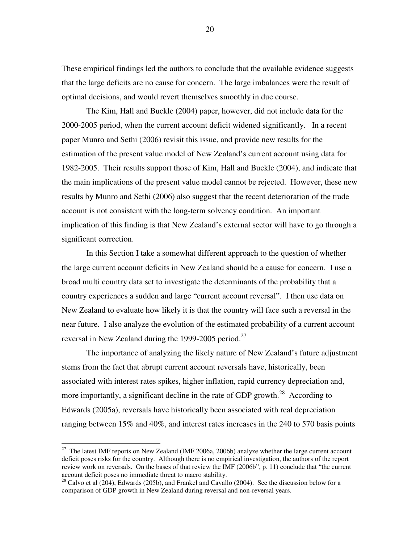These empirical findings led the authors to conclude that the available evidence suggests that the large deficits are no cause for concern. The large imbalances were the result of optimal decisions, and would revert themselves smoothly in due course.

The Kim, Hall and Buckle (2004) paper, however, did not include data for the 2000-2005 period, when the current account deficit widened significantly. In a recent paper Munro and Sethi (2006) revisit this issue, and provide new results for the estimation of the present value model of New Zealand's current account using data for 1982-2005. Their results support those of Kim, Hall and Buckle (2004), and indicate that the main implications of the present value model cannot be rejected. However, these new results by Munro and Sethi (2006) also suggest that the recent deterioration of the trade account is not consistent with the long-term solvency condition. An important implication of this finding is that New Zealand's external sector will have to go through a significant correction.

In this Section I take a somewhat different approach to the question of whether the large current account deficits in New Zealand should be a cause for concern. I use a broad multi country data set to investigate the determinants of the probability that a country experiences a sudden and large "current account reversal". I then use data on New Zealand to evaluate how likely it is that the country will face such a reversal in the near future. I also analyze the evolution of the estimated probability of a current account reversal in New Zealand during the 1999-2005 period.<sup>27</sup>

The importance of analyzing the likely nature of New Zealand's future adjustment stems from the fact that abrupt current account reversals have, historically, been associated with interest rates spikes, higher inflation, rapid currency depreciation and, more importantly, a significant decline in the rate of GDP growth.<sup>28</sup> According to Edwards (2005a), reversals have historically been associated with real depreciation ranging between 15% and 40%, and interest rates increases in the 240 to 570 basis points

<sup>&</sup>lt;sup>27</sup> The latest IMF reports on New Zealand (IMF 2006a, 2006b) analyze whether the large current account deficit poses risks for the country. Although there is no empirical investigation, the authors of the report review work on reversals. On the bases of that review the IMF (2006b", p. 11) conclude that "the current account deficit poses no immediate threat to macro stability.

 $28$  Calvo et al (204), Edwards (205b), and Frankel and Cavallo (2004). See the discussion below for a comparison of GDP growth in New Zealand during reversal and non-reversal years.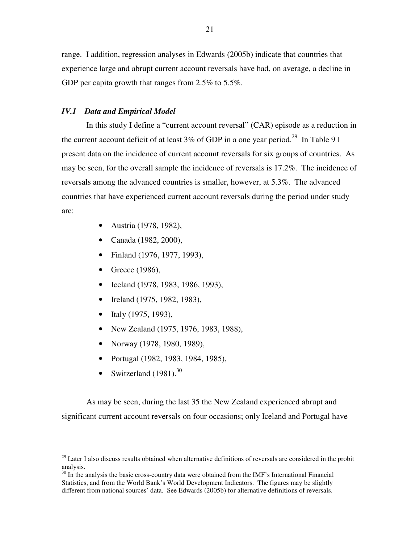range. I addition, regression analyses in Edwards (2005b) indicate that countries that experience large and abrupt current account reversals have had, on average, a decline in GDP per capita growth that ranges from 2.5% to 5.5%.

#### *IV.1 Data and Empirical Model*

In this study I define a "current account reversal" (CAR) episode as a reduction in the current account deficit of at least  $3\%$  of GDP in a one year period.<sup>29</sup> In Table 9 I present data on the incidence of current account reversals for six groups of countries. As may be seen, for the overall sample the incidence of reversals is 17.2%. The incidence of reversals among the advanced countries is smaller, however, at 5.3%. The advanced countries that have experienced current account reversals during the period under study are:

- Austria (1978, 1982),
- Canada (1982, 2000),
- Finland (1976, 1977, 1993),
- Greece (1986),
- Iceland (1978, 1983, 1986, 1993),
- Ireland (1975, 1982, 1983),
- Italy (1975, 1993),
- New Zealand (1975, 1976, 1983, 1988),
- Norway (1978, 1980, 1989),
- Portugal (1982, 1983, 1984, 1985),
- Switzerland  $(1981).^{30}$

As may be seen, during the last 35 the New Zealand experienced abrupt and significant current account reversals on four occasions; only Iceland and Portugal have

<sup>&</sup>lt;sup>29</sup> Later I also discuss results obtained when alternative definitions of reversals are considered in the probit analysis.

 $30$  In the analysis the basic cross-country data were obtained from the IMF's International Financial Statistics, and from the World Bank's World Development Indicators. The figures may be slightly different from national sources' data. See Edwards (2005b) for alternative definitions of reversals.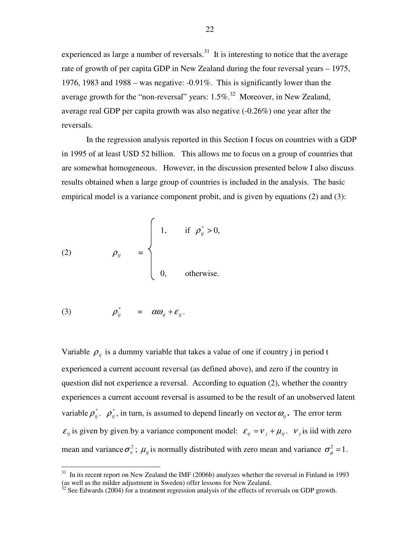experienced as large a number of reversals. $31$  It is interesting to notice that the average rate of growth of per capita GDP in New Zealand during the four reversal years – 1975, 1976, 1983 and 1988 – was negative: -0.91%. This is significantly lower than the average growth for the "non-reversal" years:  $1.5\%$ <sup>32</sup> Moreover, in New Zealand, average real GDP per capita growth was also negative (-0.26%) one year after the reversals.

In the regression analysis reported in this Section I focus on countries with a GDP in 1995 of at least USD 52 billion. This allows me to focus on a group of countries that are somewhat homogeneous. However, in the discussion presented below I also discuss results obtained when a large group of countries is included in the analysis. The basic empirical model is a variance component probit, and is given by equations (2) and (3):

(2) 
$$
\rho_{ij} = \begin{cases} 1, & \text{if } \rho_{ij}^* > 0, \\ & \\ 0, & \text{otherwise.} \end{cases}
$$

$$
(3) \t\t\t\t\rho_{ij}^* = \alpha \omega_{ij} + \varepsilon_{ij}.
$$

Variable  $\rho_{ij}$  is a dummy variable that takes a value of one if country j in period t experienced a current account reversal (as defined above), and zero if the country in question did not experience a reversal. According to equation (2), whether the country experiences a current account reversal is assumed to be the result of an unobserved latent variable  $\rho_j^*$ .  $\rho_j^*$ , in turn, is assumed to depend linearly on vector  $\omega_j$ . The error term  $\varepsilon_{ij}$  is given by given by a variance component model:  $\varepsilon_{ij} = v_j + \mu_{ij}$ .  $v_j$  is iid with zero mean and variance  $\sigma_{\nu}^2$ ;  $\mu_{ij}$  is normally distributed with zero mean and variance  $\sigma_{\mu}^2 = 1$ .

<sup>&</sup>lt;sup>31</sup> In its recent report on New Zealand the IMF (2006b) analyzes whether the reversal in Finland in 1993 (as well as the milder adjustment in Sweden) offer lessons for New Zealand.

 $32$  See Edwards (2004) for a treatment regression analysis of the effects of reversals on GDP growth.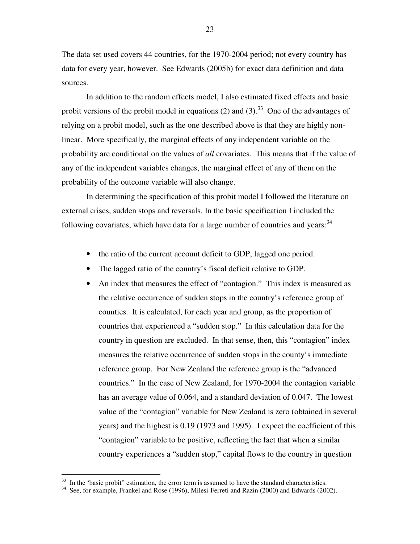The data set used covers 44 countries, for the 1970-2004 period; not every country has data for every year, however. See Edwards (2005b) for exact data definition and data sources.

In addition to the random effects model, I also estimated fixed effects and basic probit versions of the probit model in equations (2) and (3).<sup>33</sup> One of the advantages of relying on a probit model, such as the one described above is that they are highly nonlinear. More specifically, the marginal effects of any independent variable on the probability are conditional on the values of *all* covariates. This means that if the value of any of the independent variables changes, the marginal effect of any of them on the probability of the outcome variable will also change.

In determining the specification of this probit model I followed the literature on external crises, sudden stops and reversals. In the basic specification I included the following covariates, which have data for a large number of countries and years:<sup>34</sup>

- the ratio of the current account deficit to GDP, lagged one period.
- The lagged ratio of the country's fiscal deficit relative to GDP.
- An index that measures the effect of "contagion." This index is measured as the relative occurrence of sudden stops in the country's reference group of counties. It is calculated, for each year and group, as the proportion of countries that experienced a "sudden stop." In this calculation data for the country in question are excluded. In that sense, then, this "contagion" index measures the relative occurrence of sudden stops in the county's immediate reference group. For New Zealand the reference group is the "advanced countries." In the case of New Zealand, for 1970-2004 the contagion variable has an average value of 0.064, and a standard deviation of 0.047. The lowest value of the "contagion" variable for New Zealand is zero (obtained in several years) and the highest is 0.19 (1973 and 1995). I expect the coefficient of this "contagion" variable to be positive, reflecting the fact that when a similar country experiences a "sudden stop," capital flows to the country in question

 $33$  In the 'basic probit'' estimation, the error term is assumed to have the standard characteristics.

<sup>&</sup>lt;sup>34</sup> See, for example, Frankel and Rose (1996), Milesi-Ferreti and Razin (2000) and Edwards (2002).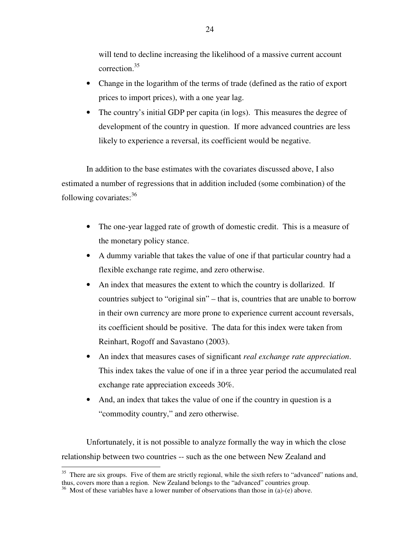will tend to decline increasing the likelihood of a massive current account correction. 35

- Change in the logarithm of the terms of trade (defined as the ratio of export prices to import prices), with a one year lag.
- The country's initial GDP per capita (in logs). This measures the degree of development of the country in question. If more advanced countries are less likely to experience a reversal, its coefficient would be negative.

In addition to the base estimates with the covariates discussed above, I also estimated a number of regressions that in addition included (some combination) of the following covariates:<sup>36</sup>

- The one-year lagged rate of growth of domestic credit. This is a measure of the monetary policy stance.
- A dummy variable that takes the value of one if that particular country had a flexible exchange rate regime, and zero otherwise.
- An index that measures the extent to which the country is dollarized. If countries subject to "original sin" – that is, countries that are unable to borrow in their own currency are more prone to experience current account reversals, its coefficient should be positive. The data for this index were taken from Reinhart, Rogoff and Savastano (2003).
- An index that measures cases of significant *real exchange rate appreciation*. This index takes the value of one if in a three year period the accumulated real exchange rate appreciation exceeds 30%.
- And, an index that takes the value of one if the country in question is a "commodity country," and zero otherwise.

Unfortunately, it is not possible to analyze formally the way in which the close relationship between two countries -- such as the one between New Zealand and

<sup>&</sup>lt;sup>35</sup> There are six groups. Five of them are strictly regional, while the sixth refers to "advanced" nations and, thus, covers more than a region. New Zealand belongs to the "advanced" countries group.

 $36$  Most of these variables have a lower number of observations than those in (a)-(e) above.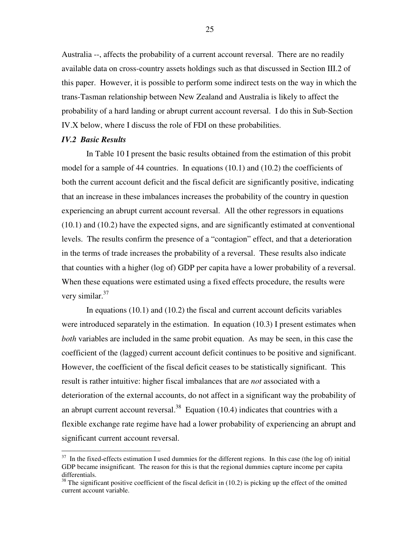Australia --, affects the probability of a current account reversal. There are no readily available data on cross-country assets holdings such as that discussed in Section III.2 of this paper. However, it is possible to perform some indirect tests on the way in which the trans-Tasman relationship between New Zealand and Australia is likely to affect the probability of a hard landing or abrupt current account reversal. I do this in Sub-Section IV.X below, where I discuss the role of FDI on these probabilities.

#### *IV.2 Basic Results*

In Table 10 I present the basic results obtained from the estimation of this probit model for a sample of 44 countries. In equations (10.1) and (10.2) the coefficients of both the current account deficit and the fiscal deficit are significantly positive, indicating that an increase in these imbalances increases the probability of the country in question experiencing an abrupt current account reversal. All the other regressors in equations (10.1) and (10.2) have the expected signs, and are significantly estimated at conventional levels. The results confirm the presence of a "contagion" effect, and that a deterioration in the terms of trade increases the probability of a reversal. These results also indicate that counties with a higher (log of) GDP per capita have a lower probability of a reversal. When these equations were estimated using a fixed effects procedure, the results were very similar.<sup>37</sup>

In equations  $(10.1)$  and  $(10.2)$  the fiscal and current account deficits variables were introduced separately in the estimation. In equation (10.3) I present estimates when *both* variables are included in the same probit equation. As may be seen, in this case the coefficient of the (lagged) current account deficit continues to be positive and significant. However, the coefficient of the fiscal deficit ceases to be statistically significant. This result is rather intuitive: higher fiscal imbalances that are *not* associated with a deterioration of the external accounts, do not affect in a significant way the probability of an abrupt current account reversal.<sup>38</sup> Equation  $(10.4)$  indicates that countries with a flexible exchange rate regime have had a lower probability of experiencing an abrupt and significant current account reversal.

<sup>&</sup>lt;sup>37</sup> In the fixed-effects estimation I used dummies for the different regions. In this case (the log of) initial GDP became insignificant. The reason for this is that the regional dummies capture income per capita differentials.

 $38$  The significant positive coefficient of the fiscal deficit in (10.2) is picking up the effect of the omitted current account variable.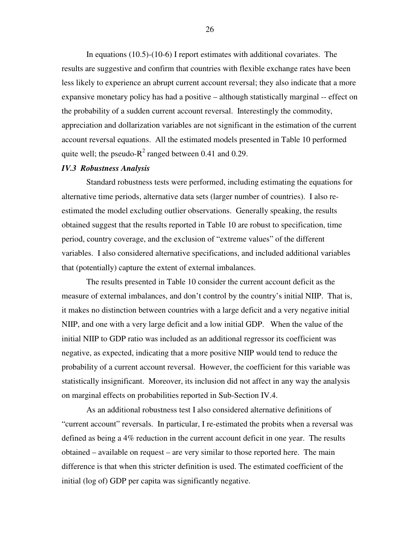In equations (10.5)-(10-6) I report estimates with additional covariates. The results are suggestive and confirm that countries with flexible exchange rates have been less likely to experience an abrupt current account reversal; they also indicate that a more expansive monetary policy has had a positive – although statistically marginal -- effect on the probability of a sudden current account reversal. Interestingly the commodity, appreciation and dollarization variables are not significant in the estimation of the current account reversal equations. All the estimated models presented in Table 10 performed quite well; the pseudo- $R^2$  ranged between 0.41 and 0.29.

#### *IV.3 Robustness Analysis*

Standard robustness tests were performed, including estimating the equations for alternative time periods, alternative data sets (larger number of countries). I also reestimated the model excluding outlier observations. Generally speaking, the results obtained suggest that the results reported in Table 10 are robust to specification, time period, country coverage, and the exclusion of "extreme values" of the different variables. I also considered alternative specifications, and included additional variables that (potentially) capture the extent of external imbalances.

The results presented in Table 10 consider the current account deficit as the measure of external imbalances, and don't control by the country's initial NIIP. That is, it makes no distinction between countries with a large deficit and a very negative initial NIIP, and one with a very large deficit and a low initial GDP. When the value of the initial NIIP to GDP ratio was included as an additional regressor its coefficient was negative, as expected, indicating that a more positive NIIP would tend to reduce the probability of a current account reversal. However, the coefficient for this variable was statistically insignificant. Moreover, its inclusion did not affect in any way the analysis on marginal effects on probabilities reported in Sub-Section IV.4.

As an additional robustness test I also considered alternative definitions of "current account" reversals. In particular, I re-estimated the probits when a reversal was defined as being a 4% reduction in the current account deficit in one year. The results obtained – available on request – are very similar to those reported here. The main difference is that when this stricter definition is used. The estimated coefficient of the initial (log of) GDP per capita was significantly negative.

26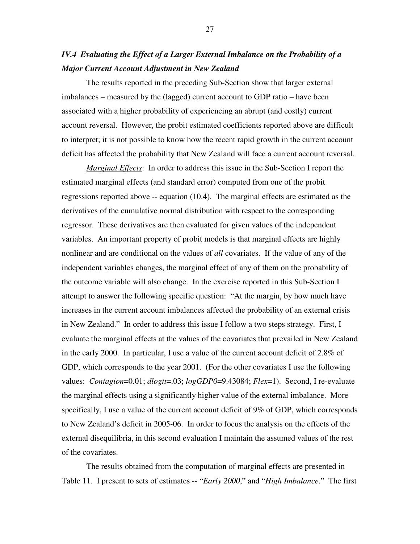## *IV.4 Evaluating the Effect of a Larger External Imbalance on the Probability of a Major Current Account Adjustment in New Zealand*

The results reported in the preceding Sub-Section show that larger external imbalances – measured by the (lagged) current account to GDP ratio – have been associated with a higher probability of experiencing an abrupt (and costly) current account reversal. However, the probit estimated coefficients reported above are difficult to interpret; it is not possible to know how the recent rapid growth in the current account deficit has affected the probability that New Zealand will face a current account reversal.

*Marginal Effects*: In order to address this issue in the Sub-Section I report the estimated marginal effects (and standard error) computed from one of the probit regressions reported above -- equation (10.4). The marginal effects are estimated as the derivatives of the cumulative normal distribution with respect to the corresponding regressor. These derivatives are then evaluated for given values of the independent variables. An important property of probit models is that marginal effects are highly nonlinear and are conditional on the values of *all* covariates. If the value of any of the independent variables changes, the marginal effect of any of them on the probability of the outcome variable will also change. In the exercise reported in this Sub-Section I attempt to answer the following specific question: "At the margin, by how much have increases in the current account imbalances affected the probability of an external crisis in New Zealand." In order to address this issue I follow a two steps strategy. First, I evaluate the marginal effects at the values of the covariates that prevailed in New Zealand in the early 2000. In particular, I use a value of the current account deficit of 2.8% of GDP, which corresponds to the year 2001. (For the other covariates I use the following values: *Contagion*=0.01; *dlogtt*=.03; *logGDP0*=9.43084; *Flex*=1). Second, I re-evaluate the marginal effects using a significantly higher value of the external imbalance. More specifically, I use a value of the current account deficit of 9% of GDP, which corresponds to New Zealand's deficit in 2005-06. In order to focus the analysis on the effects of the external disequilibria, in this second evaluation I maintain the assumed values of the rest of the covariates.

The results obtained from the computation of marginal effects are presented in Table 11. I present to sets of estimates -- "*Early 2000*," and "*High Imbalance*." The first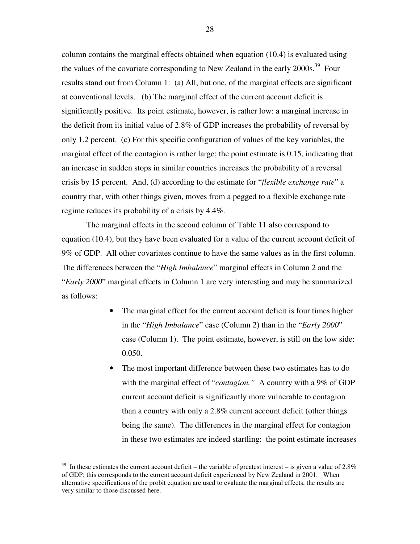column contains the marginal effects obtained when equation (10.4) is evaluated using the values of the covariate corresponding to New Zealand in the early 2000s.<sup>39</sup> Four results stand out from Column 1: (a) All, but one, of the marginal effects are significant at conventional levels. (b) The marginal effect of the current account deficit is significantly positive. Its point estimate, however, is rather low: a marginal increase in the deficit from its initial value of 2.8% of GDP increases the probability of reversal by only 1.2 percent. (c) For this specific configuration of values of the key variables, the marginal effect of the contagion is rather large; the point estimate is 0.15, indicating that an increase in sudden stops in similar countries increases the probability of a reversal crisis by 15 percent. And, (d) according to the estimate for "*flexible exchange rate*" a country that, with other things given, moves from a pegged to a flexible exchange rate regime reduces its probability of a crisis by 4.4%.

The marginal effects in the second column of Table 11 also correspond to equation (10.4), but they have been evaluated for a value of the current account deficit of 9% of GDP. All other covariates continue to have the same values as in the first column. The differences between the "*High Imbalance*" marginal effects in Column 2 and the "*Early 2000*" marginal effects in Column 1 are very interesting and may be summarized as follows:

- The marginal effect for the current account deficit is four times higher in the "*High Imbalance*" case (Column 2) than in the "*Early 2000*" case (Column 1). The point estimate, however, is still on the low side: 0.050.
- The most important difference between these two estimates has to do with the marginal effect of "*contagion*." A country with a 9% of GDP current account deficit is significantly more vulnerable to contagion than a country with only a 2.8% current account deficit (other things being the same). The differences in the marginal effect for contagion in these two estimates are indeed startling: the point estimate increases

 $39$  In these estimates the current account deficit – the variable of greatest interest – is given a value of 2.8% of GDP; this corresponds to the current account deficit experienced by New Zealand in 2001. When alternative specifications of the probit equation are used to evaluate the marginal effects, the results are very similar to those discussed here.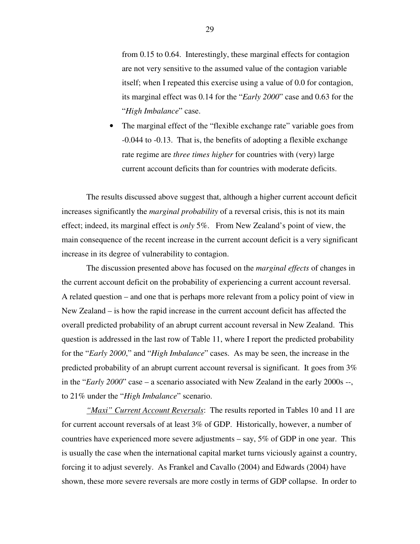from 0.15 to 0.64. Interestingly, these marginal effects for contagion are not very sensitive to the assumed value of the contagion variable itself; when I repeated this exercise using a value of 0.0 for contagion, its marginal effect was 0.14 for the "*Early 2000*" case and 0.63 for the "*High Imbalance*" case.

• The marginal effect of the "flexible exchange rate" variable goes from -0.044 to -0.13. That is, the benefits of adopting a flexible exchange rate regime are *three times higher* for countries with (very) large current account deficits than for countries with moderate deficits.

The results discussed above suggest that, although a higher current account deficit increases significantly the *marginal probability* of a reversal crisis, this is not its main effect; indeed, its marginal effect is *only* 5%. From New Zealand's point of view, the main consequence of the recent increase in the current account deficit is a very significant increase in its degree of vulnerability to contagion.

The discussion presented above has focused on the *marginal effects* of changes in the current account deficit on the probability of experiencing a current account reversal. A related question – and one that is perhaps more relevant from a policy point of view in New Zealand – is how the rapid increase in the current account deficit has affected the overall predicted probability of an abrupt current account reversal in New Zealand. This question is addressed in the last row of Table 11, where I report the predicted probability for the "*Early 2000*," and "*High Imbalance*" cases. As may be seen, the increase in the predicted probability of an abrupt current account reversal is significant. It goes from 3% in the "*Early 2000*" case – a scenario associated with New Zealand in the early 2000s --, to 21% under the "*High Imbalance*" scenario.

*"Maxi" Current Account Reversals*: The results reported in Tables 10 and 11 are for current account reversals of at least 3% of GDP. Historically, however, a number of countries have experienced more severe adjustments  $-$  say, 5% of GDP in one year. This is usually the case when the international capital market turns viciously against a country, forcing it to adjust severely. As Frankel and Cavallo (2004) and Edwards (2004) have shown, these more severe reversals are more costly in terms of GDP collapse. In order to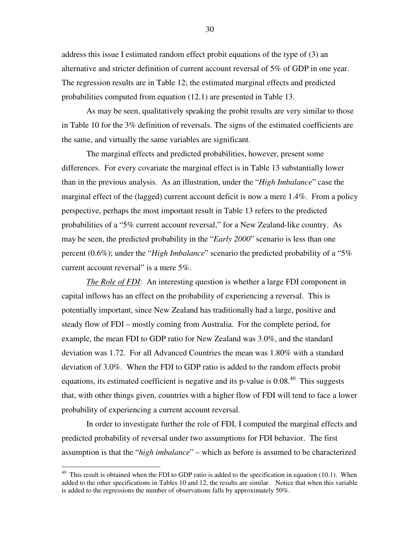address this issue I estimated random effect probit equations of the type of (3) an alternative and stricter definition of current account reversal of 5% of GDP in one year. The regression results are in Table 12; the estimated marginal effects and predicted probabilities computed from equation (12.1) are presented in Table 13.

As may be seen, qualitatively speaking the probit results are very similar to those in Table 10 for the 3% definition of reversals. The signs of the estimated coefficients are the same, and virtually the same variables are significant.

The marginal effects and predicted probabilities, however, present some differences. For every covariate the marginal effect is in Table 13 substantially lower than in the previous analysis. As an illustration, under the "*High Imbalance*" case the marginal effect of the (lagged) current account deficit is now a mere 1.4%. From a policy perspective, perhaps the most important result in Table 13 refers to the predicted probabilities of a "5% current account reversal," for a New Zealand-like country. As may be seen, the predicted probability in the "*Early 2000*" scenario is less than one percent (0.6%); under the "*High Imbalance*" scenario the predicted probability of a "5% current account reversal" is a mere 5%.

*The Role of FDI*: An interesting question is whether a large FDI component in capital inflows has an effect on the probability of experiencing a reversal. This is potentially important, since New Zealand has traditionally had a large, positive and steady flow of FDI – mostly coming from Australia. For the complete period, for example, the mean FDI to GDP ratio for New Zealand was 3.0%, and the standard deviation was 1.72. For all Advanced Countries the mean was 1.80% with a standard deviation of 3.0%. When the FDI to GDP ratio is added to the random effects probit equations, its estimated coefficient is negative and its p-value is 0.08.<sup>40</sup> This suggests that, with other things given, countries with a higher flow of FDI will tend to face a lower probability of experiencing a current account reversal.

In order to investigate further the role of FDI, I computed the marginal effects and predicted probability of reversal under two assumptions for FDI behavior. The first assumption is that the "*high imbalance*" – which as before is assumed to be characterized

 $40$  This result is obtained when the FDI to GDP ratio is added to the specification in equation (10.1). When added to the other specifications in Tables 10 and 12, the results are similar. Notice that when this variable is added to the regressions the number of observations falls by approximately 50%.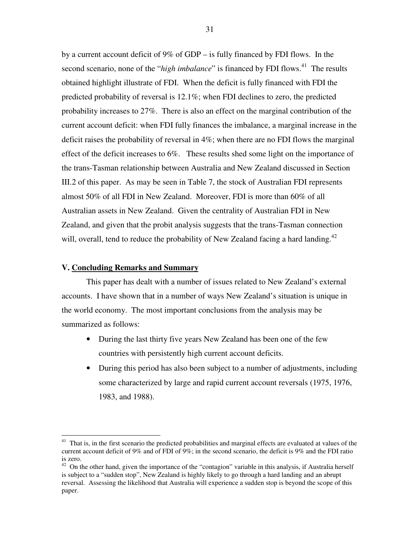by a current account deficit of 9% of GDP – is fully financed by FDI flows. In the second scenario, none of the "*high imbalance*" is financed by FDI flows.<sup>41</sup> The results obtained highlight illustrate of FDI. When the deficit is fully financed with FDI the predicted probability of reversal is 12.1%; when FDI declines to zero, the predicted probability increases to 27%. There is also an effect on the marginal contribution of the current account deficit: when FDI fully finances the imbalance, a marginal increase in the deficit raises the probability of reversal in 4%; when there are no FDI flows the marginal effect of the deficit increases to 6%. These results shed some light on the importance of the trans-Tasman relationship between Australia and New Zealand discussed in Section III.2 of this paper. As may be seen in Table 7, the stock of Australian FDI represents almost 50% of all FDI in New Zealand. Moreover, FDI is more than 60% of all Australian assets in New Zealand. Given the centrality of Australian FDI in New Zealand, and given that the probit analysis suggests that the trans-Tasman connection will, overall, tend to reduce the probability of New Zealand facing a hard landing.<sup>42</sup>

#### **V. Concluding Remarks and Summary**

This paper has dealt with a number of issues related to New Zealand's external accounts. I have shown that in a number of ways New Zealand's situation is unique in the world economy. The most important conclusions from the analysis may be summarized as follows:

- During the last thirty five years New Zealand has been one of the few countries with persistently high current account deficits.
- During this period has also been subject to a number of adjustments, including some characterized by large and rapid current account reversals (1975, 1976, 1983, and 1988).

<sup>&</sup>lt;sup>41</sup> That is, in the first scenario the predicted probabilities and marginal effects are evaluated at values of the current account deficit of 9% and of FDI of 9%; in the second scenario, the deficit is 9% and the FDI ratio is zero.

 $42$  On the other hand, given the importance of the "contagion" variable in this analysis, if Australia herself is subject to a "sudden stop", New Zealand is highly likely to go through a hard landing and an abrupt reversal. Assessing the likelihood that Australia will experience a sudden stop is beyond the scope of this paper.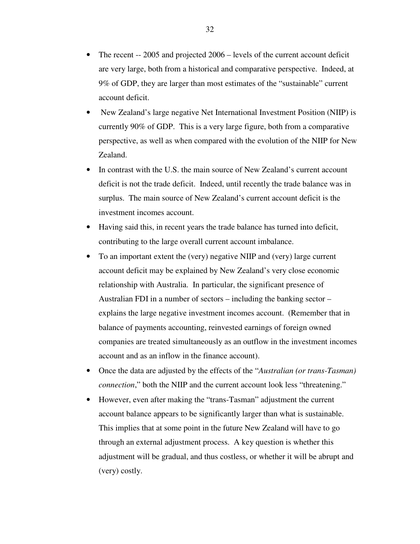- The recent -- 2005 and projected 2006 levels of the current account deficit are very large, both from a historical and comparative perspective. Indeed, at 9% of GDP, they are larger than most estimates of the "sustainable" current account deficit.
- New Zealand's large negative Net International Investment Position (NIIP) is currently 90% of GDP. This is a very large figure, both from a comparative perspective, as well as when compared with the evolution of the NIIP for New Zealand.
- In contrast with the U.S. the main source of New Zealand's current account deficit is not the trade deficit. Indeed, until recently the trade balance was in surplus. The main source of New Zealand's current account deficit is the investment incomes account.
- Having said this, in recent years the trade balance has turned into deficit, contributing to the large overall current account imbalance.
- To an important extent the (very) negative NIIP and (very) large current account deficit may be explained by New Zealand's very close economic relationship with Australia. In particular, the significant presence of Australian FDI in a number of sectors – including the banking sector – explains the large negative investment incomes account. (Remember that in balance of payments accounting, reinvested earnings of foreign owned companies are treated simultaneously as an outflow in the investment incomes account and as an inflow in the finance account).
- Once the data are adjusted by the effects of the "*Australian (or trans-Tasman) connection*," both the NIIP and the current account look less "threatening."
- However, even after making the "trans-Tasman" adjustment the current account balance appears to be significantly larger than what is sustainable. This implies that at some point in the future New Zealand will have to go through an external adjustment process. A key question is whether this adjustment will be gradual, and thus costless, or whether it will be abrupt and (very) costly.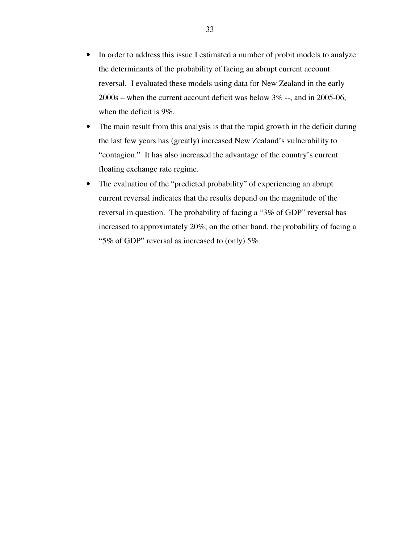- In order to address this issue I estimated a number of probit models to analyze the determinants of the probability of facing an abrupt current account reversal. I evaluated these models using data for New Zealand in the early 2000s – when the current account deficit was below 3% --, and in 2005-06, when the deficit is 9%.
- The main result from this analysis is that the rapid growth in the deficit during the last few years has (greatly) increased New Zealand's vulnerability to "contagion." It has also increased the advantage of the country's current floating exchange rate regime.
- The evaluation of the "predicted probability" of experiencing an abrupt current reversal indicates that the results depend on the magnitude of the reversal in question. The probability of facing a "3% of GDP" reversal has increased to approximately 20%; on the other hand, the probability of facing a "5% of GDP" reversal as increased to (only) 5%.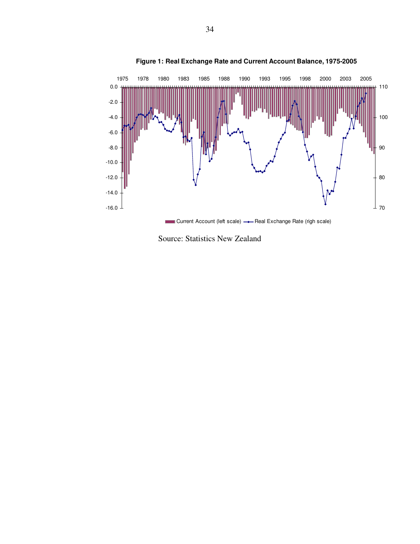

#### **Figure 1: Real Exchange Rate and Current Account Balance, 1975-2005**

Source: Statistics New Zealand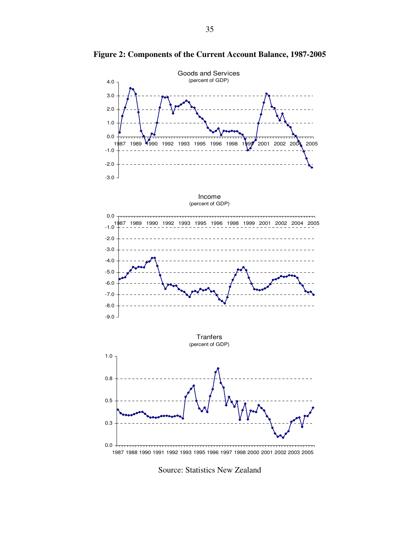

**Figure 2: Components of the Current Account Balance, 1987-2005**

Source: Statistics New Zealand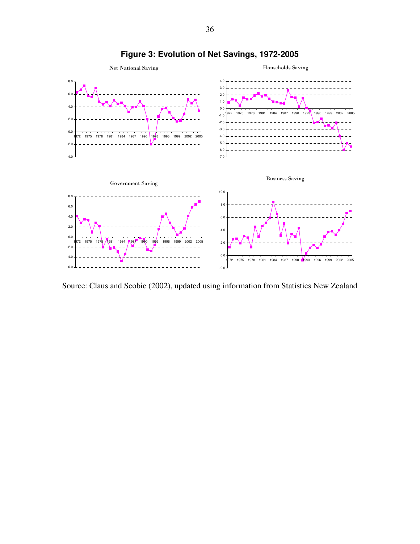

**Figure 3: Evolution of Net Savings, 1972-2005**

Source: Claus and Scobie (2002), updated using information from Statistics New Zealand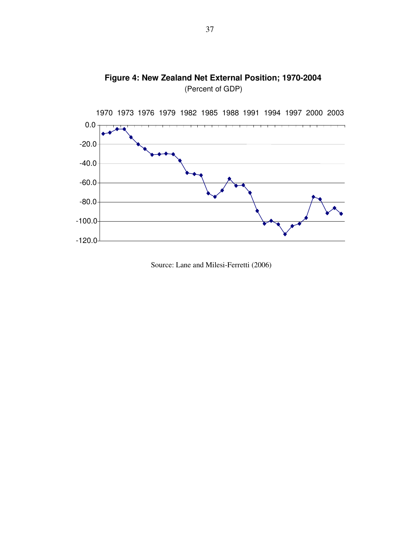

**Figure 4: New Zealand Net External Position; 1970-2004** (Percent of GDP)

Source: Lane and Milesi-Ferretti (2006)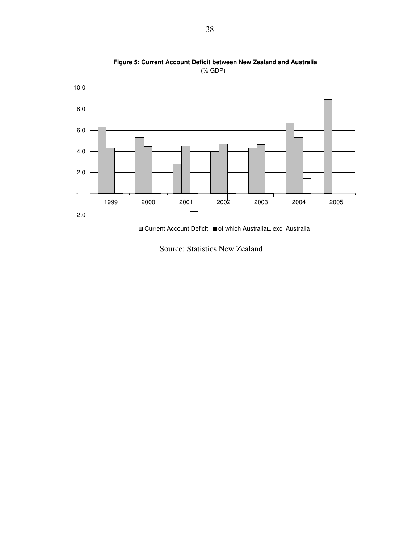

**Figure 5: Current Account Deficit between New Zealand and Australia** (% GDP)

 $\Box$  Current Account Deficit  $\blacksquare$  of which Australia exc. Australia

Source: Statistics New Zealand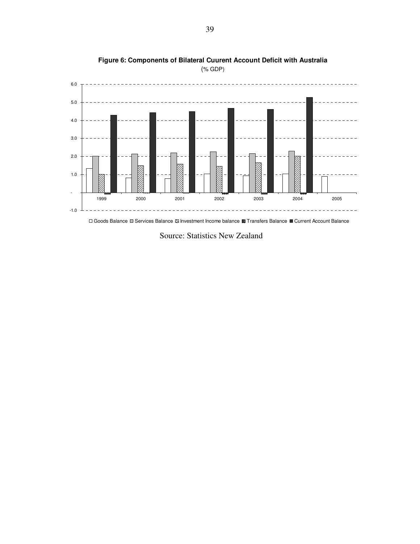

**Figure 6: Components of Bilateral Cuurent Account Deficit with Australia** (% GDP)

Goods Balance Services Balance Investment Income balance Transfers Balance Current Account Balance

Source: Statistics New Zealand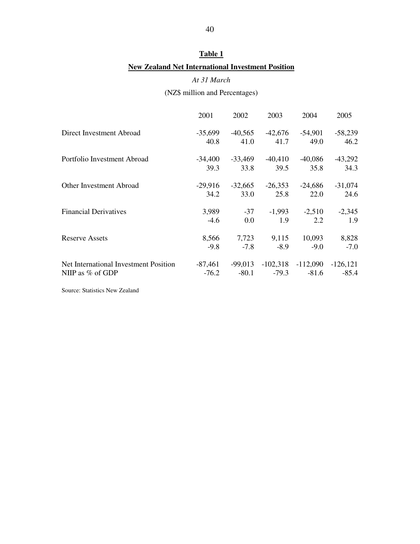### **Table 1**

### **New Zealand Net International Investment Position**

### *At 31 March*

### (NZ\$ million and Percentages)

|                                       | 2001      | 2002      | 2003                | 2004                  | 2005        |
|---------------------------------------|-----------|-----------|---------------------|-----------------------|-------------|
| Direct Investment Abroad              | $-35,699$ |           | $-40,565$ $-42,676$ | $-54,901$             | $-58,239$   |
|                                       | 40.8      | 41.0      | 41.7                | 49.0                  | 46.2        |
| Portfolio Investment Abroad           | -34.400   | -33,469   | $-40,410$           | $-40,086$             | $-43,292$   |
|                                       | 39.3      | 33.8      | 39.5                | 35.8                  | 34.3        |
| <b>Other Investment Abroad</b>        | $-29,916$ | $-32,665$ | $-26,353$           | $-24,686$             | $-31,074$   |
|                                       | 34.2      | 33.0      | 25.8                | 22.0                  | 24.6        |
| <b>Financial Derivatives</b>          | 3,989     | $-37$     | $-1,993$            | $-2,510$              | $-2,345$    |
|                                       | $-4.6$    | $0.0\,$   | 1.9                 | 2.2                   | 1.9         |
| <b>Reserve Assets</b>                 | 8,566     | 7,723     | 9,115               | 10,093                | 8,828       |
|                                       | $-9.8$    | $-7.8$    | $-8.9$              | $-9.0$                | $-7.0$      |
| Net International Investment Position | -87,461   | $-99,013$ |                     | $-102,318$ $-112,090$ | $-126, 121$ |
| NIIP as $%$ of GDP                    | $-76.2$   | $-80.1$   | $-79.3$             | $-81.6$               | $-85.4$     |

Source: Statistics New Zealand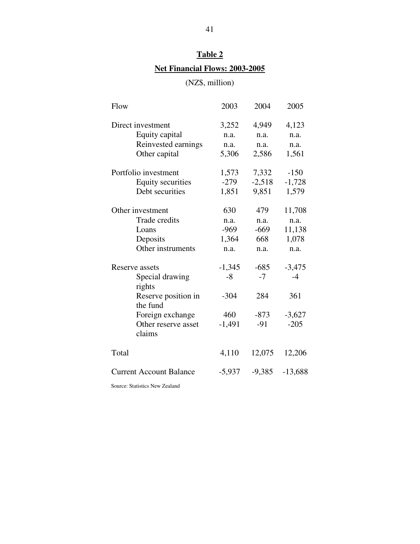# **Table 2 Net Financial Flows: 2003-2005**

(NZ\$, million)

| Flow                                                                                                                                | 2003                                          | 2004                                     | 2005                                          |
|-------------------------------------------------------------------------------------------------------------------------------------|-----------------------------------------------|------------------------------------------|-----------------------------------------------|
| Direct investment<br>Equity capital<br>Reinvested earnings<br>Other capital                                                         | 3,252<br>n.a.<br>n.a.<br>5,306                | 4,949<br>n.a.<br>n.a.<br>2,586           | 4,123<br>n.a.<br>n.a.<br>1,561                |
| Portfolio investment<br><b>Equity securities</b><br>Debt securities                                                                 | 1,573<br>$-279$<br>1,851                      | 7,332<br>$-2,518$<br>9,851               | $-150$<br>$-1,728$<br>1,579                   |
| Other investment<br>Trade credits<br>Loans<br>Deposits<br>Other instruments                                                         | 630<br>n.a.<br>$-969$<br>1,364<br>n.a.        | 479<br>n.a.<br>$-669$<br>668<br>n.a.     | 11,708<br>n.a.<br>11,138<br>1,078<br>n.a.     |
| Reserve assets<br>Special drawing<br>rights<br>Reserve position in<br>the fund<br>Foreign exchange<br>Other reserve asset<br>claims | $-1,345$<br>$-8$<br>$-304$<br>460<br>$-1,491$ | $-685$<br>$-7$<br>284<br>$-873$<br>$-91$ | $-3,475$<br>$-4$<br>361<br>$-3,627$<br>$-205$ |
| Total                                                                                                                               | 4,110                                         | 12,075                                   | 12,206                                        |
| <b>Current Account Balance</b>                                                                                                      | $-5,937$                                      | $-9,385$                                 | $-13,688$                                     |

Source: Statistics New Zealand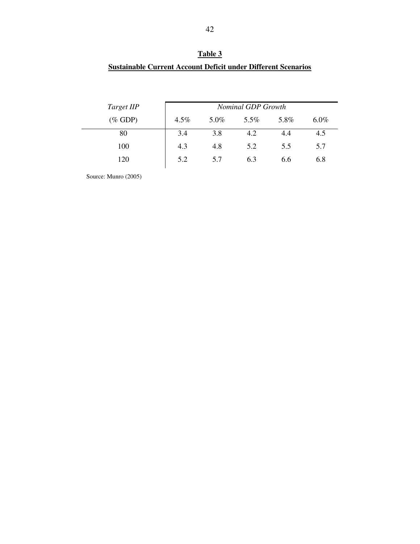| Table 3                                                              |
|----------------------------------------------------------------------|
| <b>Sustainable Current Account Deficit under Different Scenarios</b> |

| Target IIP |      |      | <b>Nominal GDP Growth</b> |      |         |
|------------|------|------|---------------------------|------|---------|
| $(\%$ GDP) | 4.5% | 5.0% | 5.5%                      | 5.8% | $6.0\%$ |
| 80         | 3.4  | 3.8  | 4.2                       | 4.4  | 4.5     |
| 100        | 4.3  | 4.8  | 5.2                       | 5.5  | 5.7     |
| 120        | 5.2  | 5.7  | 6.3                       | 6.6  | 6.8     |

Source: Munro (2005)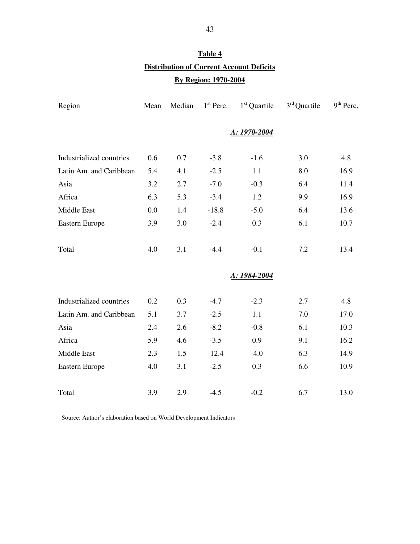# **Table 4 Distribution of Current Account Deficits By Region: 1970-2004**

| Region                   | Mean | Median | $1st$ Perc. | $1st$ Quartile | $3rd$ Quartile | $9th$ Perc. |
|--------------------------|------|--------|-------------|----------------|----------------|-------------|
|                          |      |        |             | A: 1970-2004   |                |             |
| Industrialized countries | 0.6  | 0.7    | $-3.8$      | $-1.6$         | 3.0            | 4.8         |
| Latin Am. and Caribbean  | 5.4  | 4.1    | $-2.5$      | 1.1            | 8.0            | 16.9        |
| Asia                     | 3.2  | 2.7    | $-7.0$      | $-0.3$         | 6.4            | 11.4        |
| Africa                   | 6.3  | 5.3    | $-3.4$      | 1.2            | 9.9            | 16.9        |
| Middle East              | 0.0  | 1.4    | $-18.8$     | $-5.0$         | 6.4            | 13.6        |
| Eastern Europe           | 3.9  | 3.0    | $-2.4$      | 0.3            | 6.1            | 10.7        |
| Total                    | 4.0  | 3.1    | $-4.4$      | $-0.1$         | 7.2            | 13.4        |
|                          |      |        |             | A: 1984-2004   |                |             |
| Industrialized countries | 0.2  | 0.3    | $-4.7$      | $-2.3$         | 2.7            | 4.8         |
| Latin Am. and Caribbean  | 5.1  | 3.7    | $-2.5$      | 1.1            | 7.0            | 17.0        |
| Asia                     | 2.4  | 2.6    | $-8.2$      | $-0.8$         | 6.1            | 10.3        |
| Africa                   | 5.9  | 4.6    | $-3.5$      | 0.9            | 9.1            | 16.2        |
| Middle East              | 2.3  | 1.5    | $-12.4$     | $-4.0$         | 6.3            | 14.9        |
| Eastern Europe           | 4.0  | 3.1    | $-2.5$      | 0.3            | 6.6            | 10.9        |
| Total                    | 3.9  | 2.9    | $-4.5$      | $-0.2$         | 6.7            | 13.0        |

Source: Author's elaboration based on World Development Indicators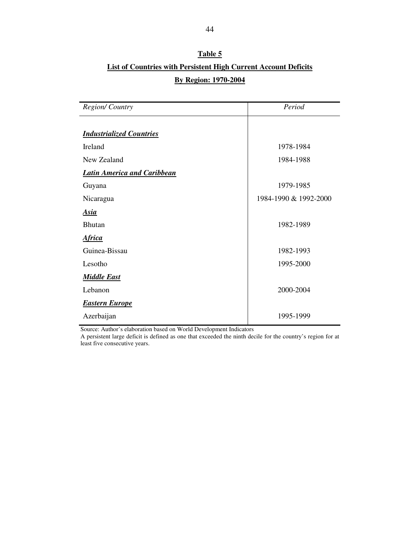# **Table 5 List of Countries with Persistent High Current Account Deficits By Region: 1970-2004**

| <b>Region/Country</b>              | Period                |
|------------------------------------|-----------------------|
| <b>Industrialized Countries</b>    |                       |
| Ireland                            | 1978-1984             |
| New Zealand                        | 1984-1988             |
| <b>Latin America and Caribbean</b> |                       |
| Guyana                             | 1979-1985             |
| Nicaragua                          | 1984-1990 & 1992-2000 |
| <b>Asia</b>                        |                       |
| <b>Bhutan</b>                      | 1982-1989             |
| <u>Africa</u>                      |                       |
| Guinea-Bissau                      | 1982-1993             |
| Lesotho                            | 1995-2000             |
| <b>Middle East</b>                 |                       |
| Lebanon                            | 2000-2004             |
| <b>Eastern Europe</b>              |                       |
| Azerbaijan                         | 1995-1999             |

Source: Author's elaboration based on World Development Indicators

A persistent large deficit is defined as one that exceeded the ninth decile for the country's region for at least five consecutive years.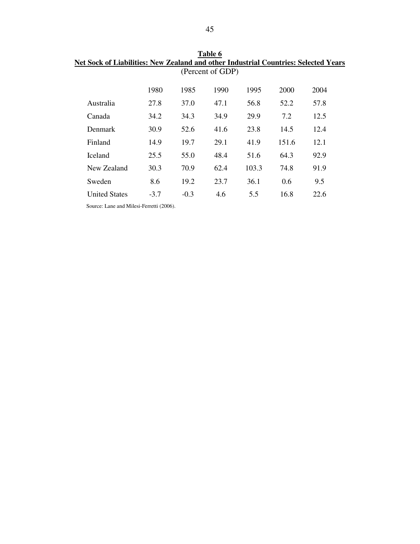| let Sock of Liabilities: New Zealand and other Industrial Countries: Selected Year |        |        |                  |       |       |      |  |
|------------------------------------------------------------------------------------|--------|--------|------------------|-------|-------|------|--|
|                                                                                    |        |        | (Percent of GDP) |       |       |      |  |
|                                                                                    |        |        |                  |       |       |      |  |
|                                                                                    | 1980   | 1985   | 1990             | 1995  | 2000  | 2004 |  |
| Australia                                                                          | 27.8   | 37.0   | 47.1             | 56.8  | 52.2  | 57.8 |  |
| Canada                                                                             | 34.2   | 34.3   | 34.9             | 29.9  | 7.2   | 12.5 |  |
| Denmark                                                                            | 30.9   | 52.6   | 41.6             | 23.8  | 14.5  | 12.4 |  |
| Finland                                                                            | 14.9   | 19.7   | 29.1             | 41.9  | 151.6 | 12.1 |  |
| <b>Iceland</b>                                                                     | 25.5   | 55.0   | 48.4             | 51.6  | 64.3  | 92.9 |  |
| New Zealand                                                                        | 30.3   | 70.9   | 62.4             | 103.3 | 74.8  | 91.9 |  |
| Sweden                                                                             | 8.6    | 19.2   | 23.7             | 36.1  | 0.6   | 9.5  |  |
| <b>United States</b>                                                               | $-3.7$ | $-0.3$ | 4.6              | 5.5   | 16.8  | 22.6 |  |
|                                                                                    |        |        |                  |       |       |      |  |

**Table 6 Net Sock of Liabilities: New Zealand and other Industrial Countries: Selected Years**

Source: Lane and Milesi-Ferretti (2006).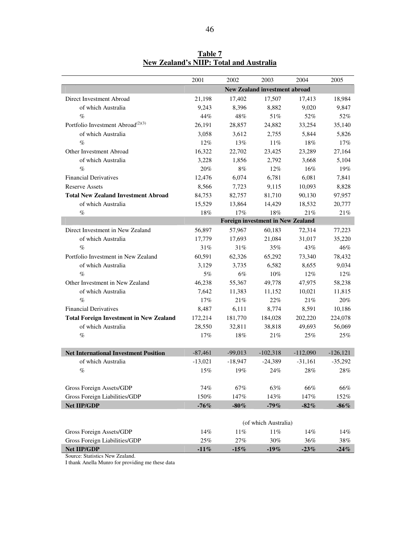|                                                | 2001      | 2002      | 2003                                     | 2004       | 2005       |
|------------------------------------------------|-----------|-----------|------------------------------------------|------------|------------|
|                                                |           |           | <b>New Zealand investment abroad</b>     |            |            |
| Direct Investment Abroad                       | 21,198    | 17,402    | 17,507                                   | 17.413     | 18,984     |
| of which Australia                             | 9,243     | 8,396     | 8,882                                    | 9,020      | 9,847      |
| $\%$                                           | 44%       | 48%       | 51%                                      | 52%        | 52%        |
| Portfolio Investment Abroad <sup>(2)(3)</sup>  | 26,191    | 28,857    | 24,882                                   | 33,254     | 35,140     |
| of which Australia                             | 3,058     | 3,612     | 2,755                                    | 5,844      | 5,826      |
| $\%$                                           | $12\%$    | 13%       | $11\%$                                   | 18%        | 17%        |
| Other Investment Abroad                        | 16,322    | 22,702    | 23,425                                   | 23.289     | 27,164     |
| of which Australia                             | 3,228     | 1.856     | 2,792                                    | 3,668      | 5,104      |
| $\%$                                           | 20%       | 8%        | $12\%$                                   | 16%        | 19%        |
| <b>Financial Derivatives</b>                   | 12,476    | 6,074     | 6,781                                    | 6,081      | 7,841      |
| <b>Reserve Assets</b>                          | 8,566     | 7,723     | 9,115                                    | 10,093     | 8,828      |
| <b>Total New Zealand Investment Abroad</b>     | 84,753    | 82,757    | 81,710                                   | 90,130     | 97,957     |
| of which Australia                             | 15,529    | 13,864    | 14,429                                   | 18,532     | 20,777     |
| $\%$                                           | 18%       | 17%       | 18%                                      | 21%        | 21%        |
|                                                |           |           | <b>Foreign investment in New Zealand</b> |            |            |
| Direct Investment in New Zealand               | 56,897    | 57,967    | 60,183                                   | 72.314     | 77,223     |
| of which Australia                             | 17,779    | 17,693    | 21,084                                   | 31.017     | 35,220     |
| $\%$                                           | 31%       | 31%       | 35%                                      | 43%        | 46%        |
| Portfolio Investment in New Zealand            | 60,591    | 62,326    | 65,292                                   | 73,340     | 78,432     |
| of which Australia                             | 3,129     | 3,735     | 6,582                                    | 8,655      | 9,034      |
| $\%$                                           | $5\%$     | 6%        | $10\%$                                   | $12\%$     | $12\%$     |
| Other Investment in New Zealand                | 46,238    | 55,367    | 49,778                                   | 47,975     | 58,238     |
| of which Australia                             | 7,642     | 11,383    | 11,152                                   | 10,021     | 11,815     |
| $\%$                                           | 17%       | 21%       | 22%                                      | 21%        | 20%        |
| <b>Financial Derivatives</b>                   | 8,487     | 6,111     | 8,774                                    | 8,591      | 10,186     |
| <b>Total Foreign Investment in New Zealand</b> | 172,214   | 181,770   | 184,028                                  | 202,220    | 224,078    |
| of which Australia                             | 28,550    | 32,811    | 38,818                                   | 49,693     | 56,069     |
| $\%$                                           | 17%       | 18%       | 21%                                      | 25%        | 25%        |
|                                                |           |           |                                          |            |            |
| <b>Net International Investment Position</b>   | $-87,461$ | $-99,013$ | $-102,318$                               | $-112,090$ | $-126,121$ |
| of which Australia                             | $-13,021$ | $-18,947$ | $-24,389$                                | $-31.161$  | $-35,292$  |
| $\%$                                           | 15%       | 19%       | 24%                                      | 28%        | 28%        |
|                                                |           |           |                                          |            |            |
| Gross Foreign Assets/GDP                       | $74\%$    | 67%       | 63%                                      | 66%        | 66%        |
| Gross Foreign Liabilities/GDP                  | 150%      | 147%      | 143%                                     | 147%       | 152%       |
| Net IIP/GDP                                    | $-76%$    | $-80\,\%$ | $-79%$                                   | $-82%$     | $-86\%$    |
|                                                |           |           |                                          |            |            |
|                                                |           |           | (of which Australia)                     |            |            |
| Gross Foreign Assets/GDP                       | 14%       | 11%       | $11\%$                                   | 14%        | 14%        |
| Gross Foreign Liabilities/GDP                  | $25\%$    | 27%       | $30\%$                                   | 36%        | $38\%$     |
| Net IIP/GDP                                    | $-11\%$   | $-15%$    | $-19\%$                                  | $-23%$     | $-24%$     |

**Table 7 New Zealand's NIIP: Total and Australia**

Source: Statistics New Zealand.

I thank Anella Munro for providing me these data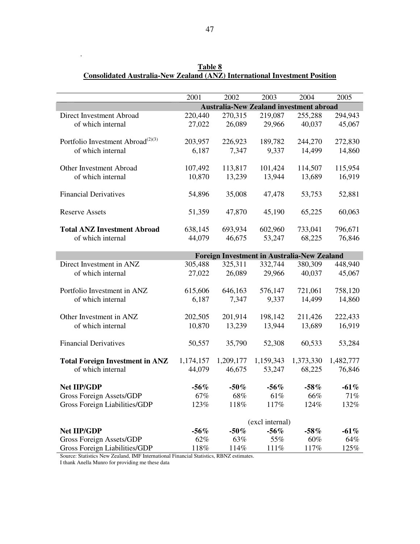|                                               | 2001            | 2002                                               | 2003      | 2004      | 2005      |  |  |
|-----------------------------------------------|-----------------|----------------------------------------------------|-----------|-----------|-----------|--|--|
|                                               |                 | <b>Australia-New Zealand investment abroad</b>     |           |           |           |  |  |
| Direct Investment Abroad                      | 220,440         | 270,315                                            | 219,087   | 255,288   | 294,943   |  |  |
| of which internal                             | 27,022          | 26,089                                             | 29,966    | 40,037    | 45,067    |  |  |
|                                               |                 |                                                    |           |           |           |  |  |
| Portfolio Investment Abroad <sup>(2)(3)</sup> | 203,957         | 226,923                                            | 189,782   | 244,270   | 272,830   |  |  |
| of which internal                             | 6,187           | 7,347                                              | 9,337     | 14,499    | 14,860    |  |  |
|                                               |                 |                                                    |           |           |           |  |  |
| Other Investment Abroad                       | 107,492         | 113,817                                            | 101,424   | 114,507   | 115,954   |  |  |
| of which internal                             | 10,870          | 13,239                                             | 13,944    | 13,689    | 16,919    |  |  |
|                                               |                 |                                                    |           |           |           |  |  |
| <b>Financial Derivatives</b>                  | 54,896          | 35,008                                             | 47,478    | 53,753    | 52,881    |  |  |
|                                               |                 |                                                    |           |           |           |  |  |
| <b>Reserve Assets</b>                         | 51,359          | 47,870                                             | 45,190    | 65,225    | 60,063    |  |  |
|                                               |                 |                                                    |           |           |           |  |  |
| <b>Total ANZ Investment Abroad</b>            | 638,145         | 693,934                                            | 602,960   | 733,041   | 796,671   |  |  |
| of which internal                             | 44,079          | 46,675                                             | 53,247    | 68,225    | 76,846    |  |  |
|                                               |                 |                                                    |           |           |           |  |  |
|                                               |                 | <b>Foreign Investment in Australia-New Zealand</b> |           |           |           |  |  |
| Direct Investment in ANZ                      | 305,488         | 325,311                                            | 332,744   | 380,309   | 448,940   |  |  |
| of which internal                             | 27,022          | 26,089                                             | 29,966    | 40,037    | 45,067    |  |  |
|                                               |                 |                                                    |           |           |           |  |  |
| Portfolio Investment in ANZ                   | 615,606         | 646,163                                            | 576,147   | 721,061   | 758,120   |  |  |
| of which internal                             | 6,187           | 7,347                                              | 9,337     | 14,499    | 14,860    |  |  |
|                                               |                 |                                                    |           |           |           |  |  |
| Other Investment in ANZ                       | 202,505         | 201,914                                            | 198,142   | 211,426   | 222,433   |  |  |
| of which internal                             | 10,870          | 13,239                                             | 13,944    | 13,689    | 16,919    |  |  |
|                                               |                 |                                                    |           |           |           |  |  |
| <b>Financial Derivatives</b>                  | 50,557          | 35,790                                             | 52,308    | 60,533    | 53,284    |  |  |
|                                               |                 |                                                    |           |           |           |  |  |
| <b>Total Foreign Investment in ANZ</b>        | 1,174,157       | 1,209,177                                          | 1,159,343 | 1,373,330 | 1,482,777 |  |  |
| of which internal                             | 44,079          | 46,675                                             | 53,247    | 68,225    | 76,846    |  |  |
|                                               |                 |                                                    |           |           |           |  |  |
| <b>Net IIP/GDP</b>                            | $-56\%$         | $-50\%$                                            | $-56%$    | $-58%$    | $-61%$    |  |  |
| Gross Foreign Assets/GDP                      | 67%             | 68%                                                | 61%       | 66%       | 71%       |  |  |
| Gross Foreign Liabilities/GDP                 | 123%            | 118%                                               | 117%      | 124%      | 132%      |  |  |
|                                               |                 |                                                    |           |           |           |  |  |
|                                               | (excl internal) |                                                    |           |           |           |  |  |
| <b>Net IIP/GDP</b>                            | $-56\%$         | $-50\%$                                            | $-56%$    | $-58\%$   | $-61\%$   |  |  |
| Gross Foreign Assets/GDP                      | 62%             | 63%                                                | 55%       | 60%       | 64%       |  |  |
| Gross Foreign Liabilities/GDP                 | 118%            | 114%                                               | 111%      | 117%      | 125%      |  |  |

**Table 8 Consolidated Australia-New Zealand (ANZ) International Investment Position**

Source: Statistics New Zealand, IMF International Financial Statistics, RBNZ estimates.

I thank Anella Munro for providing me these data

.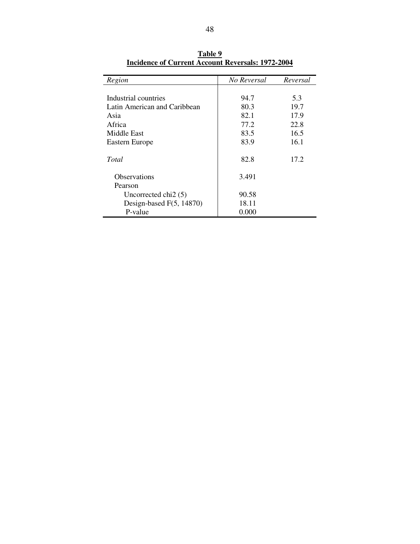| Region                       | No Reversal | Reversal |
|------------------------------|-------------|----------|
| Industrial countries         | 94.7        | 5.3      |
|                              |             |          |
| Latin American and Caribbean | 80.3        | 19.7     |
| Asia                         | 82.1        | 17.9     |
| Africa                       | 77.2        | 22.8     |
| Middle East                  | 83.5        | 16.5     |
| Eastern Europe               | 83.9        | 16.1     |
| Total                        | 82.8        | 17.2     |
| <b>Observations</b>          | 3.491       |          |
| Pearson                      |             |          |
| Uncorrected chi $2(5)$       | 90.58       |          |
| Design-based $F(5, 14870)$   | 18.11       |          |
| P-value                      | 0.000       |          |

**Table 9 Incidence of Current Account Reversals: 1972-2004**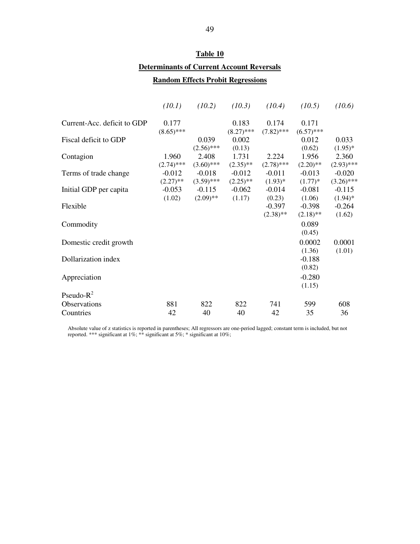# **Table 10 Determinants of Current Account Reversals**

### **Random Effects Probit Regressions**

|                             | (10.1)                  | (10.2)                   | (10.3)                  | (10.4)                  | (10.5)                  | (10.6)                   |
|-----------------------------|-------------------------|--------------------------|-------------------------|-------------------------|-------------------------|--------------------------|
| Current-Acc. deficit to GDP | 0.177<br>$(8.65)$ ***   |                          | 0.183<br>$(8.27)$ ***   | 0.174<br>$(7.82)$ ***   | 0.171<br>$(6.57)$ ***   |                          |
| Fiscal deficit to GDP       |                         | 0.039<br>$(2.56)$ ***    | 0.002<br>(0.13)         |                         | 0.012<br>(0.62)         | 0.033<br>$(1.95)^*$      |
| Contagion                   | 1.960<br>$(2.74)$ ***   | 2.408<br>$(3.60)$ ***    | 1.731<br>$(2.35)$ **    | 2.224<br>$(2.78)$ ***   | 1.956<br>$(2.20)$ **    | 2.360<br>$(2.93)$ ***    |
| Terms of trade change       | $-0.012$<br>$(2.27)$ ** | $-0.018$<br>$(3.59)$ *** | $-0.012$<br>$(2.25)$ ** | $-0.011$<br>$(1.93)^*$  | $-0.013$<br>$(1.77)*$   | $-0.020$<br>$(3.26)$ *** |
| Initial GDP per capita      | $-0.053$<br>(1.02)      | $-0.115$<br>$(2.09)$ **  | $-0.062$<br>(1.17)      | $-0.014$<br>(0.23)      | $-0.081$<br>(1.06)      | $-0.115$<br>$(1.94)^*$   |
| Flexible                    |                         |                          |                         | $-0.397$<br>$(2.38)$ ** | $-0.398$<br>$(2.18)$ ** | $-0.264$<br>(1.62)       |
| Commodity                   |                         |                          |                         |                         | 0.089<br>(0.45)         |                          |
| Domestic credit growth      |                         |                          |                         |                         | 0.0002<br>(1.36)        | 0.0001<br>(1.01)         |
| Dollarization index         |                         |                          |                         |                         | $-0.188$<br>(0.82)      |                          |
| Appreciation                |                         |                          |                         |                         | $-0.280$<br>(1.15)      |                          |
| Pseudo- $R^2$               |                         |                          |                         |                         |                         |                          |
| Observations                | 881                     | 822                      | 822                     | 741                     | 599                     | 608                      |
| Countries                   | 42                      | 40                       | 40                      | 42                      | 35                      | 36                       |

Absolute value of z statistics is reported in parentheses; All regressors are one-period lagged; constant term is included, but not reported. \*\*\* significant at 1%; \*\* significant at 5%; \* significant at 10%;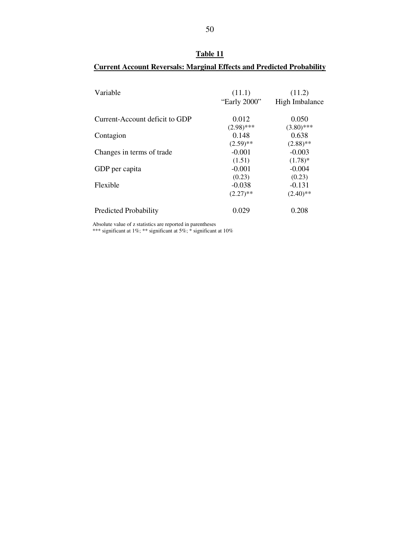| Table 11  |  |
|-----------|--|
|           |  |
| arainal F |  |

| Table 11                                                                     |  |
|------------------------------------------------------------------------------|--|
| <b>Current Account Reversals: Marginal Effects and Predicted Probability</b> |  |

| Variable                       | (11.1)<br>"Early 2000" | (11.2)<br>High Imbalance |
|--------------------------------|------------------------|--------------------------|
| Current-Account deficit to GDP | 0.012                  | 0.050                    |
| Contagion                      | $(2.98)$ ***<br>0.148  | $(3.80)$ ***<br>0.638    |
|                                | $(2.59)$ **            | $(2.88)$ **              |
| Changes in terms of trade      | $-0.001$               | $-0.003$                 |
|                                | (1.51)                 | $(1.78)$ *               |
| GDP per capita                 | $-0.001$               | $-0.004$                 |
|                                | (0.23)                 | (0.23)                   |
| Flexible                       | $-0.038$               | $-0.131$                 |
|                                | $(2.27)$ **            | $(2.40)$ **              |
| <b>Predicted Probability</b>   | 0.029                  | 0.208                    |

Absolute value of z statistics are reported in parentheses

\*\*\* significant at 1%; \*\* significant at 5%; \* significant at 10%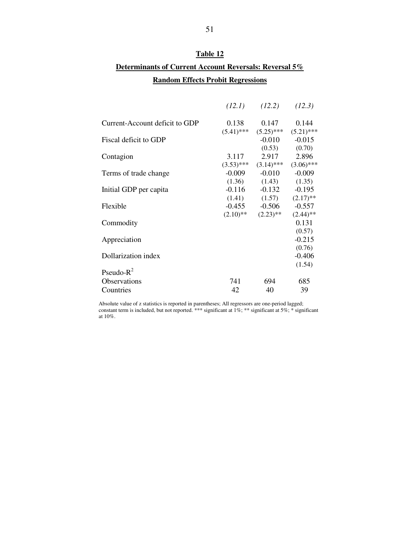### **Table 12**

## **Determinants of Current Account Reversals: Reversal 5% Random Effects Probit Regressions**

|                                | (12.1)       | (12.2)                    | (12.3)       |
|--------------------------------|--------------|---------------------------|--------------|
| Current-Account deficit to GDP | 0.138        | 0.147                     | 0.144        |
|                                |              | $(5.41)$ *** $(5.25)$ *** | $(5.21)$ *** |
| Fiscal deficit to GDP          |              | $-0.010$                  | $-0.015$     |
|                                |              | (0.53)                    | (0.70)       |
| Contagion                      | 3.117        | 2.917                     | 2.896        |
|                                | $(3.53)$ *** | $(3.14)$ ***              | $(3.06)$ *** |
| Terms of trade change          | $-0.009$     | $-0.010$                  | $-0.009$     |
|                                |              | $(1.36)$ $(1.43)$         | (1.35)       |
| Initial GDP per capita         | $-0.116$     | $-0.132$                  | $-0.195$     |
|                                |              | $(1.41)$ $(1.57)$         | $(2.17)$ **  |
| Flexible                       | $-0.455$     | $-0.506$                  | $-0.557$     |
|                                | $(2.10)$ **  | $(2.23)$ **               | $(2.44)$ **  |
| Commodity                      |              |                           | 0.131        |
|                                |              |                           | (0.57)       |
| Appreciation                   |              |                           | $-0.215$     |
|                                |              |                           | (0.76)       |
| Dollarization index            |              |                           | $-0.406$     |
|                                |              |                           | (1.54)       |
| Pseudo- $R^2$                  |              |                           |              |
| <b>Observations</b>            | 741          | 694                       | 685          |
| Countries                      | 42           | 40                        | 39           |
|                                |              |                           |              |

Absolute value of z statistics is reported in parentheses; All regressors are one-period lagged; constant term is included, but not reported. \*\*\* significant at 1%; \*\* significant at 5%; \* significant at 10%.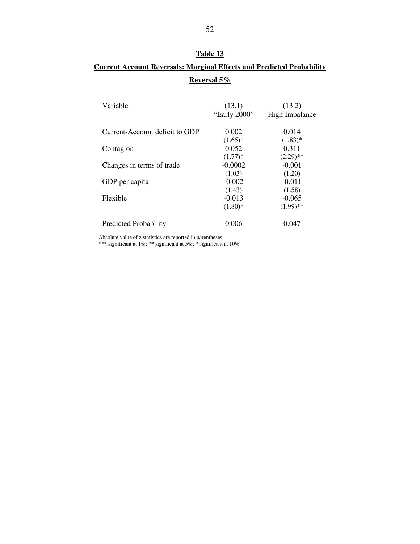### **Table 13**

## **Current Account Reversals: Marginal Effects and Predicted Probability Reversal 5%**

| Variable                       | (13.1)<br>"Early 2000" | (13.2)<br>High Imbalance |
|--------------------------------|------------------------|--------------------------|
| Current-Account deficit to GDP | 0.002                  | 0.014                    |
|                                | $(1.65)^*$             | $(1.83)$ *               |
| Contagion                      | 0.052                  | 0.311                    |
|                                | $(1.77)*$              | $(2.29)$ **              |
| Changes in terms of trade      | $-0.0002$              | $-0.001$                 |
|                                | (1.03)                 | (1.20)                   |
| GDP per capita                 | $-0.002$               | $-0.011$                 |
|                                | (1.43)                 | (1.58)                   |
| Flexible                       | $-0.013$               | $-0.065$                 |
|                                | $(1.80)$ *             | $(1.99)$ **              |
| <b>Predicted Probability</b>   | 0.006                  | 0.047                    |

Absolute value of z statistics are reported in parentheses

\*\*\* significant at 1%; \*\* significant at 5%; \* significant at 10%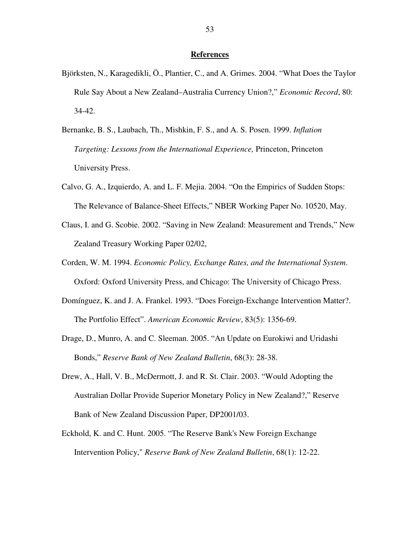#### **References**

- Björksten, N., Karagedikli, Ö., Plantier, C., and A. Grimes. 2004. "What Does the Taylor Rule Say About a New Zealand–Australia Currency Union?," *Economic Record*, 80: 34-42.
- Bernanke, B. S., Laubach, Th., Mishkin, F. S., and A. S. Posen. 1999. *Inflation Targeting: Lessons from the International Experience,* Princeton, Princeton University Press.
- Calvo, G. A., Izquierdo, A. and L. F. Mejia. 2004. "On the Empirics of Sudden Stops: The Relevance of Balance-Sheet Effects," NBER Working Paper No. 10520, May.
- Claus, I. and G. Scobie. 2002. "Saving in New Zealand: Measurement and Trends," New Zealand Treasury Working Paper 02/02,
- Corden, W. M. 1994. *Economic Policy, Exchange Rates, and the International System*. Oxford: Oxford University Press, and Chicago: The University of Chicago Press.
- Domínguez, K. and J. A. Frankel. 1993. "Does Foreign-Exchange Intervention Matter?. The Portfolio Effect". *American Economic Review*, 83(5): 1356-69.
- Drage, D., Munro, A. and C. Sleeman. 2005. "An Update on Eurokiwi and Uridashi Bonds," *Reserve Bank of New Zealand Bulletin*, 68(3): 28-38.
- Drew, A., Hall, V. B., McDermott, J. and R. St. Clair. 2003. "Would Adopting the Australian Dollar Provide Superior Monetary Policy in New Zealand?," Reserve Bank of New Zealand Discussion Paper, DP2001/03.
- Eckhold, K. and C. Hunt. 2005. "The Reserve Bank's New Foreign Exchange Intervention Policy," *Reserve Bank of New Zealand Bulletin*, 68(1): 12-22.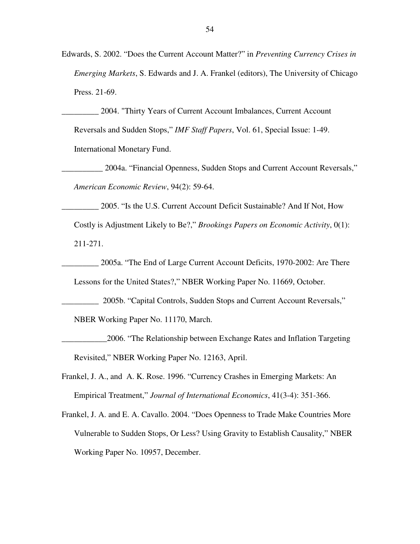Edwards, S. 2002. "Does the Current Account Matter?" in *Preventing Currency Crises in Emerging Markets*, S. Edwards and J. A. Frankel (editors), The University of Chicago Press. 21-69.

\_\_\_\_\_\_\_\_\_ 2004. "Thirty Years of Current Account Imbalances, Current Account Reversals and Sudden Stops," *IMF Staff Papers*, Vol. 61, Special Issue: 1-49. International Monetary Fund.

\_\_\_\_\_\_\_\_\_\_ 2004a. "Financial Openness, Sudden Stops and Current Account Reversals," *American Economic Review*, 94(2): 59-64.

\_\_\_\_\_\_\_\_\_ 2005. "Is the U.S. Current Account Deficit Sustainable? And If Not, How Costly is Adjustment Likely to Be?," *Brookings Papers on Economic Activity*, 0(1): 211-271.

\_\_\_\_\_\_\_\_\_ 2005a. "The End of Large Current Account Deficits, 1970-2002: Are There Lessons for the United States?," NBER Working Paper No. 11669, October.

\_\_\_\_\_\_\_\_\_ 2005b. "Capital Controls, Sudden Stops and Current Account Reversals,"

NBER Working Paper No. 11170, March.

\_\_\_\_\_\_\_\_\_\_\_2006. "The Relationship between Exchange Rates and Inflation Targeting Revisited," NBER Working Paper No. 12163, April.

Frankel, J. A., and A. K. Rose. 1996. "Currency Crashes in Emerging Markets: An Empirical Treatment," *Journal of International Economics*, 41(3-4): 351-366.

Frankel, J. A. and E. A. Cavallo. 2004. "Does Openness to Trade Make Countries More Vulnerable to Sudden Stops, Or Less? Using Gravity to Establish Causality," NBER Working Paper No. 10957, December.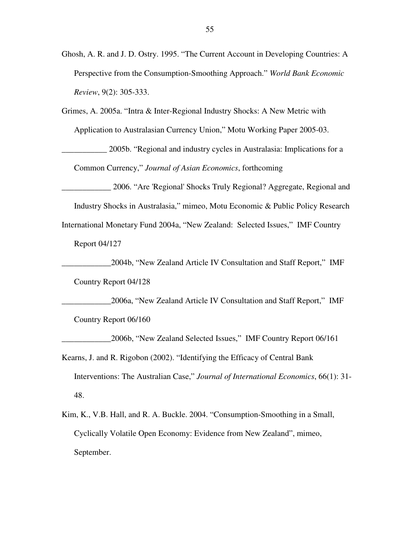- Ghosh, A. R. and J. D. Ostry. 1995. "The Current Account in Developing Countries: A Perspective from the Consumption-Smoothing Approach." *World Bank Economic Review*, 9(2): 305-333.
- Grimes, A. 2005a. "Intra & Inter-Regional Industry Shocks: A New Metric with Application to Australasian Currency Union," Motu Working Paper 2005-03.

\_\_\_\_\_\_\_\_\_\_\_ 2005b. "Regional and industry cycles in Australasia: Implications for a Common Currency," *Journal of Asian Economics*, forthcoming

\_\_\_\_\_\_\_\_\_\_\_\_ 2006. "Are 'Regional'Shocks Truly Regional? Aggregate, Regional and

Industry Shocks in Australasia," mimeo, Motu Economic & Public Policy Research

International Monetary Fund 2004a, "New Zealand: Selected Issues," IMF Country

Report 04/127

\_\_\_\_\_\_\_\_\_\_\_\_2004b, "New Zealand Article IV Consultation and Staff Report," IMF Country Report 04/128

\_\_\_\_\_\_\_\_\_\_\_\_2006a, "New Zealand Article IV Consultation and Staff Report," IMF Country Report 06/160

\_\_\_\_\_\_\_\_\_\_\_\_2006b, "New Zealand Selected Issues," IMF Country Report 06/161

- Kearns, J. and R. Rigobon (2002). "Identifying the Efficacy of Central Bank Interventions: The Australian Case," *Journal of International Economics*, 66(1): 31- 48.
- Kim, K., V.B. Hall, and R. A. Buckle. 2004. "Consumption-Smoothing in a Small, Cyclically Volatile Open Economy: Evidence from New Zealand", mimeo, September.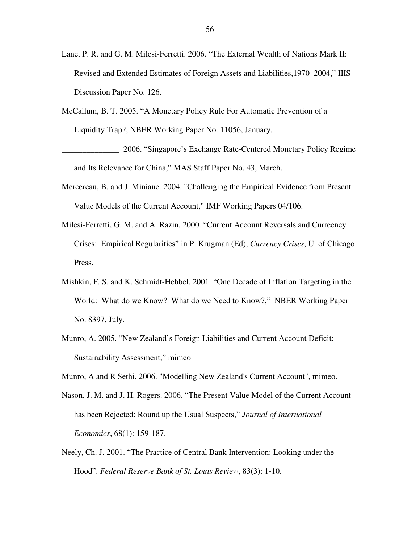- Lane, P. R. and G. M. Milesi-Ferretti. 2006. "The External Wealth of Nations Mark II: Revised and Extended Estimates of Foreign Assets and Liabilities,1970–2004," IIIS Discussion Paper No. 126.
- McCallum, B. T. 2005. "A Monetary Policy Rule For Automatic Prevention of a Liquidity Trap?, NBER Working Paper No. 11056, January.

\_\_\_\_\_\_\_\_\_\_\_\_\_\_ 2006. "Singapore's Exchange Rate-Centered Monetary Policy Regime and Its Relevance for China," MAS Staff Paper No. 43, March.

- Mercereau, B. and J. Miniane. 2004. "Challenging the Empirical Evidence from Present Value Models of the Current Account," IMF Working Papers 04/106.
- Milesi-Ferretti, G. M. and A. Razin. 2000. "Current Account Reversals and Curreency Crises: Empirical Regularities" in P. Krugman (Ed), *Currency Crises*, U. of Chicago Press.
- Mishkin, F. S. and K. Schmidt-Hebbel. 2001. "One Decade of Inflation Targeting in the World: What do we Know? What do we Need to Know?," NBER Working Paper No. 8397, July.
- Munro, A. 2005. "New Zealand's Foreign Liabilities and Current Account Deficit: Sustainability Assessment," mimeo
- Munro, A and R Sethi. 2006. "Modelling New Zealand's Current Account", mimeo.
- Nason, J. M. and J. H. Rogers. 2006. "The Present Value Model of the Current Account has been Rejected: Round up the Usual Suspects," *Journal of International Economics*, 68(1): 159-187.
- Neely, Ch. J. 2001. "The Practice of Central Bank Intervention: Looking under the Hood". *Federal Reserve Bank of St. Louis Review*, 83(3): 1-10.